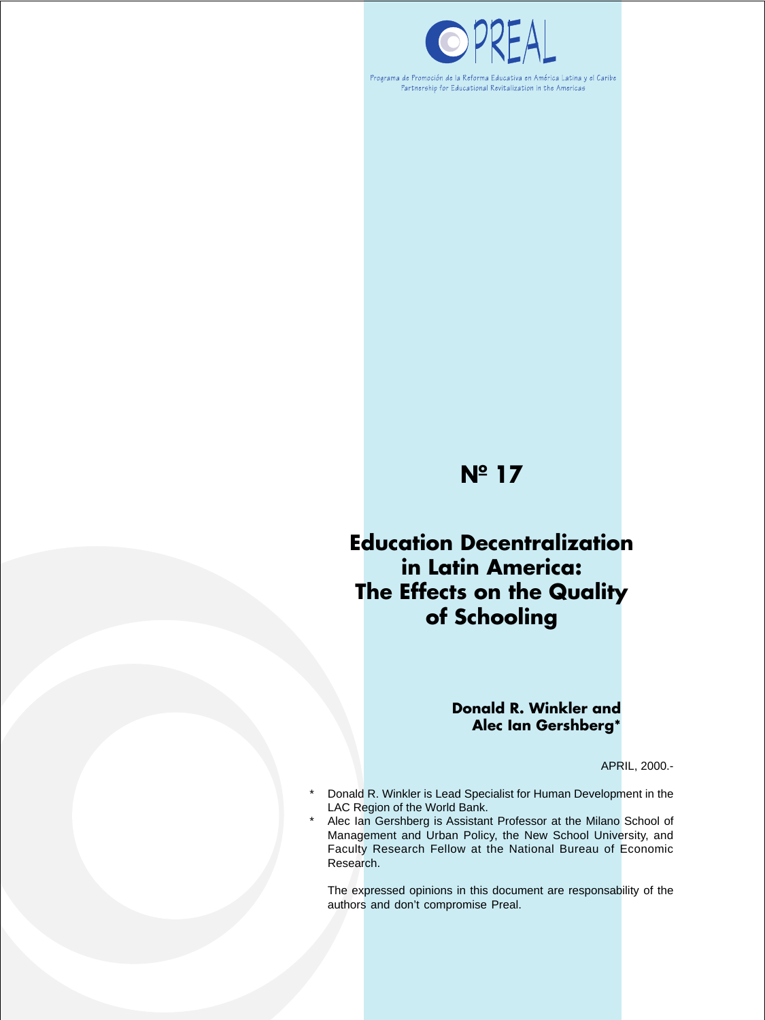

Programa de Promoción de la Reforma Educativa en América Latina y el Caribe Partnership for Educational Revitalization in the Americas

# **Nº 17**

## **Education Decentralization in Latin America: The Effects on the Quality of Schooling**

## **Donald R. Winkler and Alec Ian Gershberg\***

APRIL, 2000.-

- Donald R. Winkler is Lead Specialist for Human Development in the LAC Region of the World Bank.
- Alec Ian Gershberg is Assistant Professor at the Milano School of Management and Urban Policy, the New School University, and Faculty Research Fellow at the National Bureau of Economic Research.

The expressed opinions in this document are responsability of the authors and don't compromise Preal.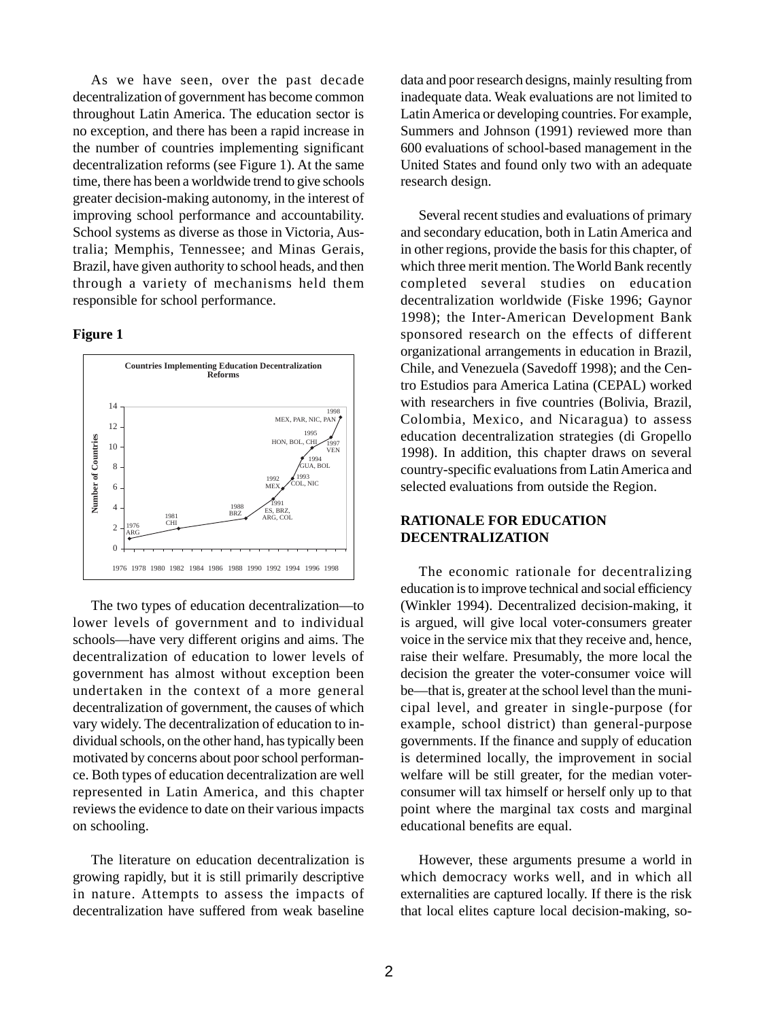As we have seen, over the past decade decentralization of government has become common throughout Latin America. The education sector is no exception, and there has been a rapid increase in the number of countries implementing significant decentralization reforms (see Figure 1). At the same time, there has been a worldwide trend to give schools greater decision-making autonomy, in the interest of improving school performance and accountability. School systems as diverse as those in Victoria, Australia; Memphis, Tennessee; and Minas Gerais, Brazil, have given authority to school heads, and then through a variety of mechanisms held them responsible for school performance.

#### **Figure 1**



The two types of education decentralization—to lower levels of government and to individual schools—have very different origins and aims. The decentralization of education to lower levels of government has almost without exception been undertaken in the context of a more general decentralization of government, the causes of which vary widely. The decentralization of education to individual schools, on the other hand, has typically been motivated by concerns about poor school performance. Both types of education decentralization are well represented in Latin America, and this chapter reviews the evidence to date on their various impacts on schooling.

The literature on education decentralization is growing rapidly, but it is still primarily descriptive in nature. Attempts to assess the impacts of decentralization have suffered from weak baseline data and poor research designs, mainly resulting from inadequate data. Weak evaluations are not limited to Latin America or developing countries. For example, Summers and Johnson (1991) reviewed more than 600 evaluations of school-based management in the United States and found only two with an adequate research design.

Several recent studies and evaluations of primary and secondary education, both in Latin America and in other regions, provide the basis for this chapter, of which three merit mention. The World Bank recently completed several studies on education decentralization worldwide (Fiske 1996; Gaynor 1998); the Inter-American Development Bank sponsored research on the effects of different organizational arrangements in education in Brazil, Chile, and Venezuela (Savedoff 1998); and the Centro Estudios para America Latina (CEPAL) worked with researchers in five countries (Bolivia, Brazil, Colombia, Mexico, and Nicaragua) to assess education decentralization strategies (di Gropello 1998). In addition, this chapter draws on several country-specific evaluations from Latin America and selected evaluations from outside the Region.

## **RATIONALE FOR EDUCATION DECENTRALIZATION**

The economic rationale for decentralizing education is to improve technical and social efficiency (Winkler 1994). Decentralized decision-making, it is argued, will give local voter-consumers greater voice in the service mix that they receive and, hence, raise their welfare. Presumably, the more local the decision the greater the voter-consumer voice will be—that is, greater at the school level than the municipal level, and greater in single-purpose (for example, school district) than general-purpose governments. If the finance and supply of education is determined locally, the improvement in social welfare will be still greater, for the median voterconsumer will tax himself or herself only up to that point where the marginal tax costs and marginal educational benefits are equal.

However, these arguments presume a world in which democracy works well, and in which all externalities are captured locally. If there is the risk that local elites capture local decision-making, so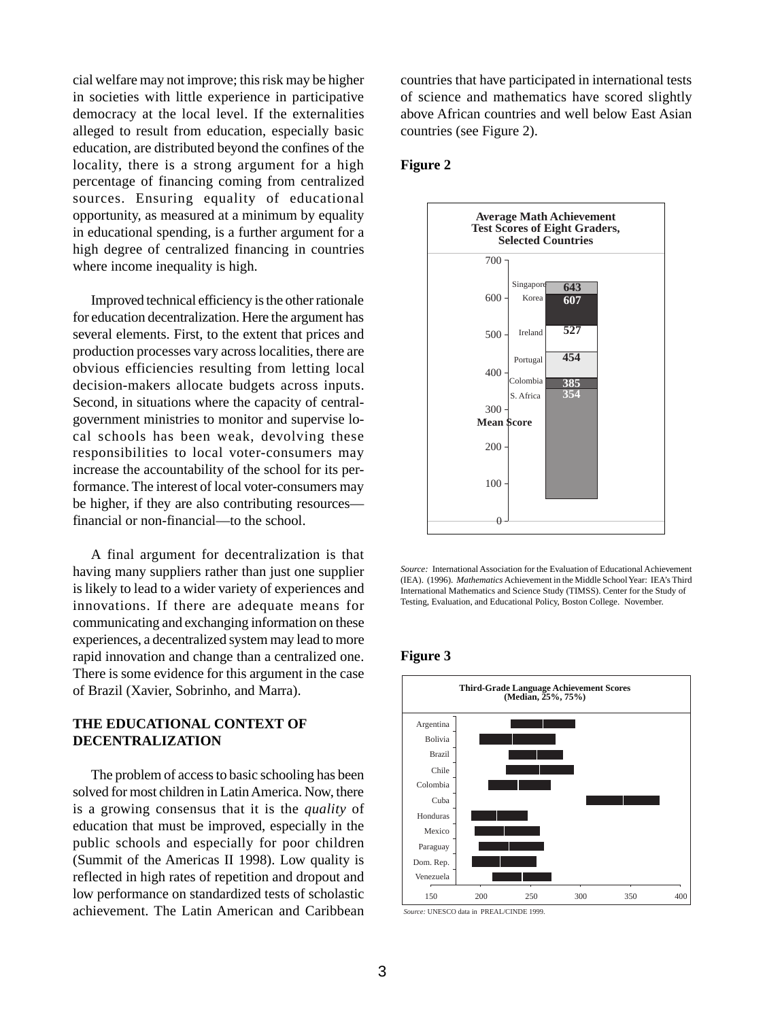cial welfare may not improve; this risk may be higher in societies with little experience in participative democracy at the local level. If the externalities alleged to result from education, especially basic education, are distributed beyond the confines of the locality, there is a strong argument for a high percentage of financing coming from centralized sources. Ensuring equality of educational opportunity, as measured at a minimum by equality in educational spending, is a further argument for a high degree of centralized financing in countries where income inequality is high.

Improved technical efficiency is the other rationale for education decentralization. Here the argument has several elements. First, to the extent that prices and production processes vary across localities, there are obvious efficiencies resulting from letting local decision-makers allocate budgets across inputs. Second, in situations where the capacity of centralgovernment ministries to monitor and supervise local schools has been weak, devolving these responsibilities to local voter-consumers may increase the accountability of the school for its performance. The interest of local voter-consumers may be higher, if they are also contributing resources financial or non-financial—to the school.

A final argument for decentralization is that having many suppliers rather than just one supplier is likely to lead to a wider variety of experiences and innovations. If there are adequate means for communicating and exchanging information on these experiences, a decentralized system may lead to more rapid innovation and change than a centralized one. There is some evidence for this argument in the case of Brazil (Xavier, Sobrinho, and Marra).

## **THE EDUCATIONAL CONTEXT OF DECENTRALIZATION**

The problem of access to basic schooling has been solved for most children in Latin America. Now, there is a growing consensus that it is the *quality* of education that must be improved, especially in the public schools and especially for poor children (Summit of the Americas II 1998). Low quality is reflected in high rates of repetition and dropout and low performance on standardized tests of scholastic achievement. The Latin American and Caribbean countries that have participated in international tests of science and mathematics have scored slightly above African countries and well below East Asian countries (see Figure 2).

#### **Figure 2**



*Source:* International Association for the Evaluation of Educational Achievement (IEA). (1996). *Mathematics* Achievement in the Middle School Year: IEA's Third International Mathematics and Science Study (TIMSS). Center for the Study of Testing, Evaluation, and Educational Policy, Boston College. November.

#### **Figure 3**

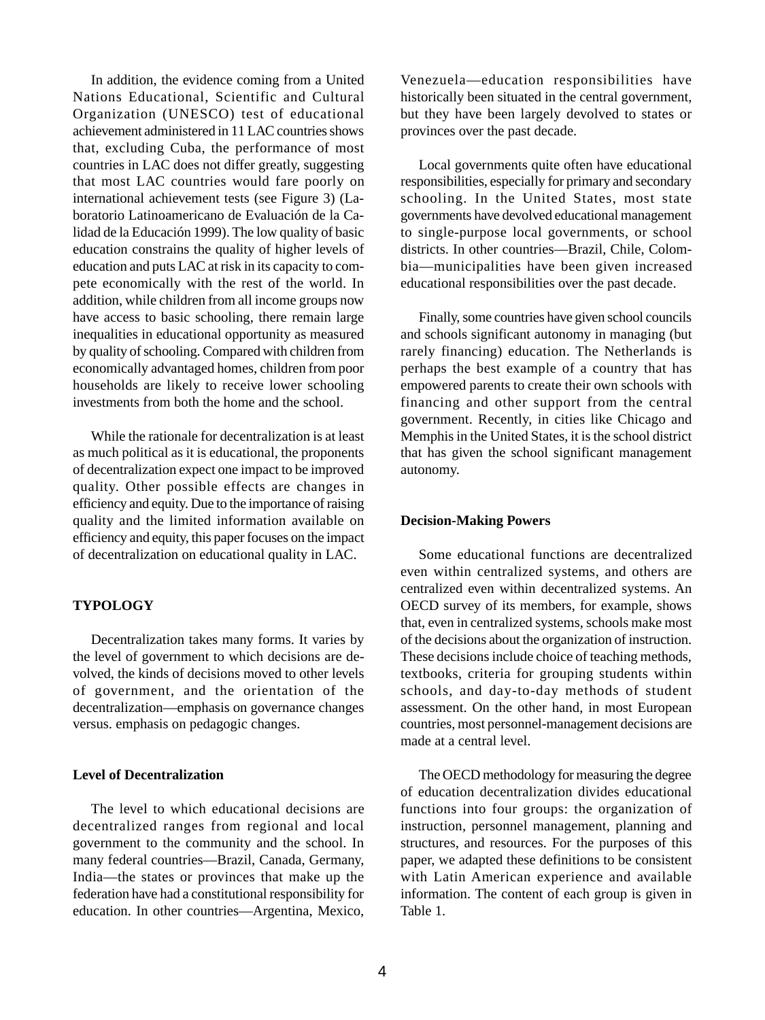In addition, the evidence coming from a United Nations Educational, Scientific and Cultural Organization (UNESCO) test of educational achievement administered in 11 LAC countries shows that, excluding Cuba, the performance of most countries in LAC does not differ greatly, suggesting that most LAC countries would fare poorly on international achievement tests (see Figure 3) (Laboratorio Latinoamericano de Evaluación de la Calidad de la Educación 1999). The low quality of basic education constrains the quality of higher levels of education and puts LAC at risk in its capacity to compete economically with the rest of the world. In addition, while children from all income groups now have access to basic schooling, there remain large inequalities in educational opportunity as measured by quality of schooling. Compared with children from economically advantaged homes, children from poor households are likely to receive lower schooling investments from both the home and the school.

While the rationale for decentralization is at least as much political as it is educational, the proponents of decentralization expect one impact to be improved quality. Other possible effects are changes in efficiency and equity. Due to the importance of raising quality and the limited information available on efficiency and equity, this paper focuses on the impact of decentralization on educational quality in LAC.

#### **TYPOLOGY**

Decentralization takes many forms. It varies by the level of government to which decisions are devolved, the kinds of decisions moved to other levels of government, and the orientation of the decentralization—emphasis on governance changes versus. emphasis on pedagogic changes.

## **Level of Decentralization**

The level to which educational decisions are decentralized ranges from regional and local government to the community and the school. In many federal countries—Brazil, Canada, Germany, India—the states or provinces that make up the federation have had a constitutional responsibility for education. In other countries—Argentina, Mexico, Venezuela—education responsibilities have historically been situated in the central government, but they have been largely devolved to states or provinces over the past decade.

Local governments quite often have educational responsibilities, especially for primary and secondary schooling. In the United States, most state governments have devolved educational management to single-purpose local governments, or school districts. In other countries—Brazil, Chile, Colombia—municipalities have been given increased educational responsibilities over the past decade.

Finally, some countries have given school councils and schools significant autonomy in managing (but rarely financing) education. The Netherlands is perhaps the best example of a country that has empowered parents to create their own schools with financing and other support from the central government. Recently, in cities like Chicago and Memphis in the United States, it is the school district that has given the school significant management autonomy.

## **Decision-Making Powers**

Some educational functions are decentralized even within centralized systems, and others are centralized even within decentralized systems. An OECD survey of its members, for example, shows that, even in centralized systems, schools make most of the decisions about the organization of instruction. These decisions include choice of teaching methods, textbooks, criteria for grouping students within schools, and day-to-day methods of student assessment. On the other hand, in most European countries, most personnel-management decisions are made at a central level.

The OECD methodology for measuring the degree of education decentralization divides educational functions into four groups: the organization of instruction, personnel management, planning and structures, and resources. For the purposes of this paper, we adapted these definitions to be consistent with Latin American experience and available information. The content of each group is given in Table 1.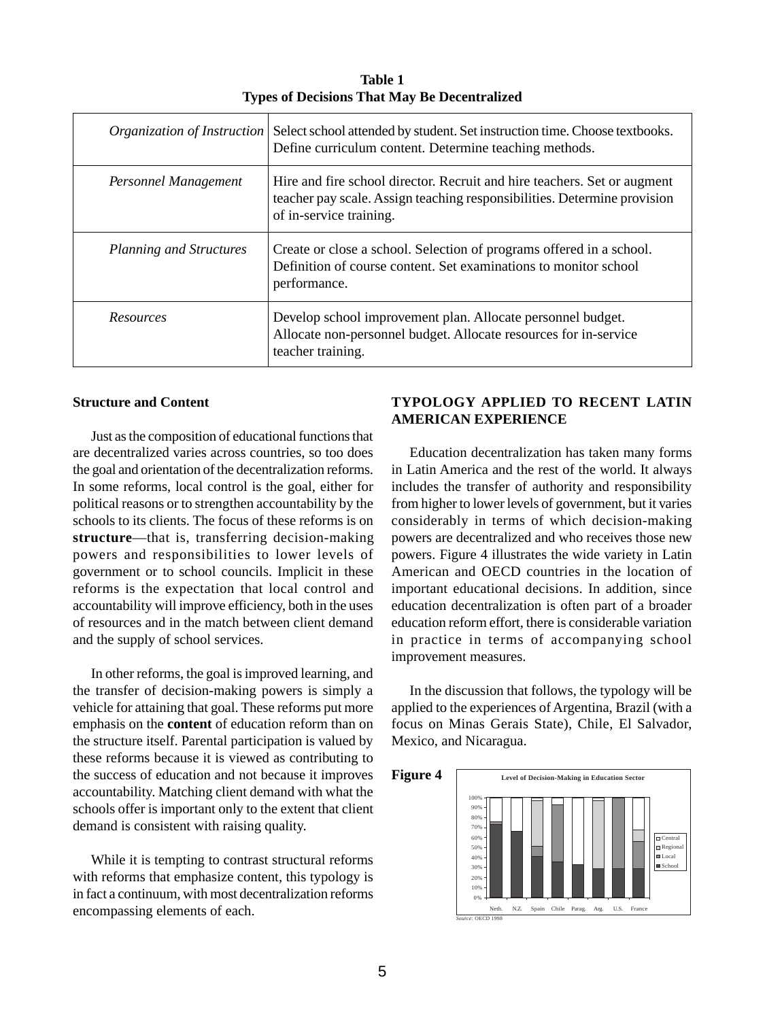**Table 1 Types of Decisions That May Be Decentralized**

| Organization of Instruction    | Select school attended by student. Set instruction time. Choose textbooks.<br>Define curriculum content. Determine teaching methods.                                            |
|--------------------------------|---------------------------------------------------------------------------------------------------------------------------------------------------------------------------------|
| Personnel Management           | Hire and fire school director. Recruit and hire teachers. Set or augment<br>teacher pay scale. Assign teaching responsibilities. Determine provision<br>of in-service training. |
| <b>Planning and Structures</b> | Create or close a school. Selection of programs offered in a school.<br>Definition of course content. Set examinations to monitor school<br>performance.                        |
| <b>Resources</b>               | Develop school improvement plan. Allocate personnel budget.<br>Allocate non-personnel budget. Allocate resources for in-service<br>teacher training.                            |

#### **Structure and Content**

Just as the composition of educational functions that are decentralized varies across countries, so too does the goal and orientation of the decentralization reforms. In some reforms, local control is the goal, either for political reasons or to strengthen accountability by the schools to its clients. The focus of these reforms is on **structure**—that is, transferring decision-making powers and responsibilities to lower levels of government or to school councils. Implicit in these reforms is the expectation that local control and accountability will improve efficiency, both in the uses of resources and in the match between client demand and the supply of school services.

In other reforms, the goal is improved learning, and the transfer of decision-making powers is simply a vehicle for attaining that goal. These reforms put more emphasis on the **content** of education reform than on the structure itself. Parental participation is valued by these reforms because it is viewed as contributing to the success of education and not because it improves accountability. Matching client demand with what the schools offer is important only to the extent that client demand is consistent with raising quality.

While it is tempting to contrast structural reforms with reforms that emphasize content, this typology is in fact a continuum, with most decentralization reforms encompassing elements of each.

## **TYPOLOGY APPLIED TO RECENT LATIN AMERICAN EXPERIENCE**

Education decentralization has taken many forms in Latin America and the rest of the world. It always includes the transfer of authority and responsibility from higher to lower levels of government, but it varies considerably in terms of which decision-making powers are decentralized and who receives those new powers. Figure 4 illustrates the wide variety in Latin American and OECD countries in the location of important educational decisions. In addition, since education decentralization is often part of a broader education reform effort, there is considerable variation in practice in terms of accompanying school improvement measures.

In the discussion that follows, the typology will be applied to the experiences of Argentina, Brazil (with a focus on Minas Gerais State), Chile, El Salvador, Mexico, and Nicaragua.

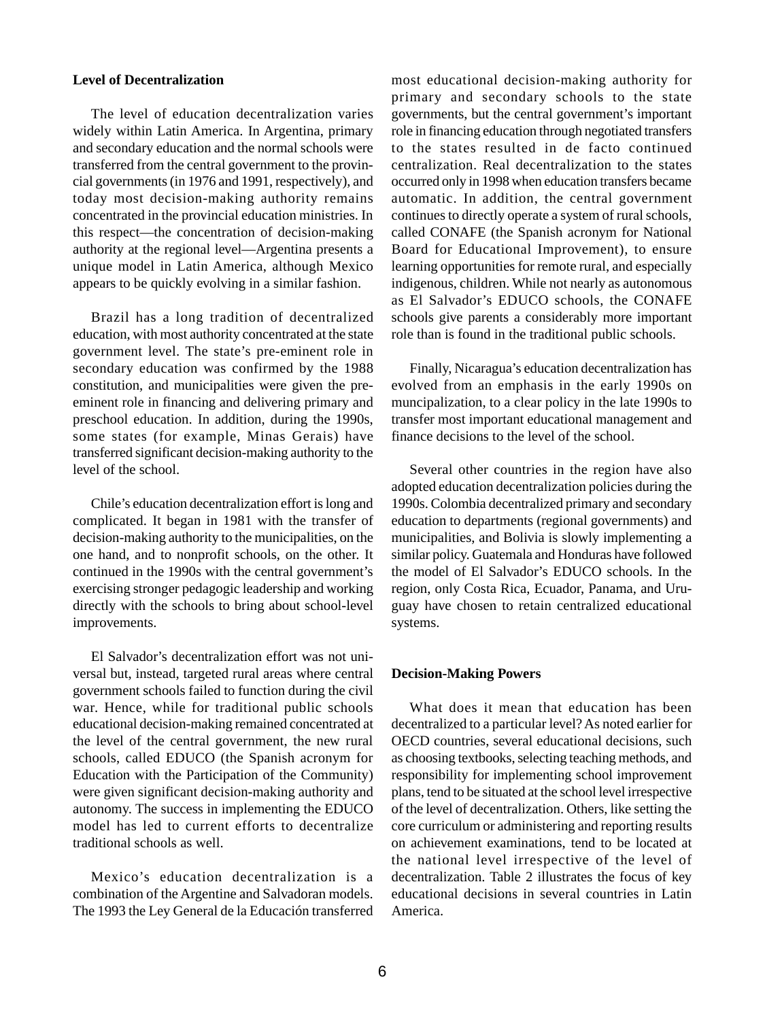## **Level of Decentralization**

The level of education decentralization varies widely within Latin America. In Argentina, primary and secondary education and the normal schools were transferred from the central government to the provincial governments (in 1976 and 1991, respectively), and today most decision-making authority remains concentrated in the provincial education ministries. In this respect—the concentration of decision-making authority at the regional level—Argentina presents a unique model in Latin America, although Mexico appears to be quickly evolving in a similar fashion.

Brazil has a long tradition of decentralized education, with most authority concentrated at the state government level. The state's pre-eminent role in secondary education was confirmed by the 1988 constitution, and municipalities were given the preeminent role in financing and delivering primary and preschool education. In addition, during the 1990s, some states (for example, Minas Gerais) have transferred significant decision-making authority to the level of the school.

Chile's education decentralization effort is long and complicated. It began in 1981 with the transfer of decision-making authority to the municipalities, on the one hand, and to nonprofit schools, on the other. It continued in the 1990s with the central government's exercising stronger pedagogic leadership and working directly with the schools to bring about school-level improvements.

El Salvador's decentralization effort was not universal but, instead, targeted rural areas where central government schools failed to function during the civil war. Hence, while for traditional public schools educational decision-making remained concentrated at the level of the central government, the new rural schools, called EDUCO (the Spanish acronym for Education with the Participation of the Community) were given significant decision-making authority and autonomy. The success in implementing the EDUCO model has led to current efforts to decentralize traditional schools as well.

Mexico's education decentralization is a combination of the Argentine and Salvadoran models. The 1993 the Ley General de la Educación transferred most educational decision-making authority for primary and secondary schools to the state governments, but the central government's important role in financing education through negotiated transfers to the states resulted in de facto continued centralization. Real decentralization to the states occurred only in 1998 when education transfers became automatic. In addition, the central government continues to directly operate a system of rural schools, called CONAFE (the Spanish acronym for National Board for Educational Improvement), to ensure learning opportunities for remote rural, and especially indigenous, children. While not nearly as autonomous as El Salvador's EDUCO schools, the CONAFE schools give parents a considerably more important role than is found in the traditional public schools.

Finally, Nicaragua's education decentralization has evolved from an emphasis in the early 1990s on muncipalization, to a clear policy in the late 1990s to transfer most important educational management and finance decisions to the level of the school.

Several other countries in the region have also adopted education decentralization policies during the 1990s. Colombia decentralized primary and secondary education to departments (regional governments) and municipalities, and Bolivia is slowly implementing a similar policy. Guatemala and Honduras have followed the model of El Salvador's EDUCO schools. In the region, only Costa Rica, Ecuador, Panama, and Uruguay have chosen to retain centralized educational systems.

#### **Decision-Making Powers**

What does it mean that education has been decentralized to a particular level? As noted earlier for OECD countries, several educational decisions, such as choosing textbooks, selecting teaching methods, and responsibility for implementing school improvement plans, tend to be situated at the school level irrespective of the level of decentralization. Others, like setting the core curriculum or administering and reporting results on achievement examinations, tend to be located at the national level irrespective of the level of decentralization. Table 2 illustrates the focus of key educational decisions in several countries in Latin America.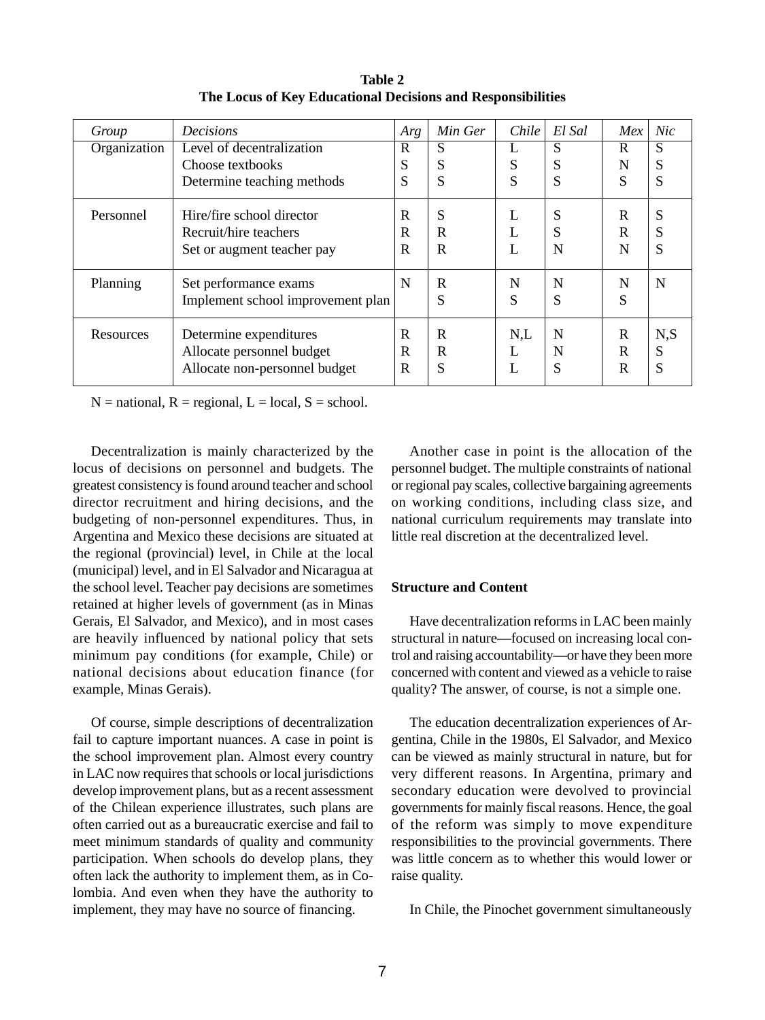**Table 2 The Locus of Key Educational Decisions and Responsibilities**

| Group        | <b>Decisions</b>                  | Arg          | Min Ger      | Chile | El Sal | Mex | Nic |
|--------------|-----------------------------------|--------------|--------------|-------|--------|-----|-----|
| Organization | Level of decentralization         | R            | S            |       | S      | R   | S   |
|              | Choose textbooks                  | S            | S            | S     | S      | N   | S   |
|              | Determine teaching methods        | S            | S            | S     | S      | S   | S   |
| Personnel    | Hire/fire school director         | R            | S            | L     | S      | R   | S   |
|              | Recruit/hire teachers             | $\mathbf R$  | $\mathbf R$  |       | S      | R   | S   |
|              | Set or augment teacher pay        | $\mathbb{R}$ | $\mathbf R$  | L     | N      | N   | S   |
| Planning     | Set performance exams             | N            | $\mathbf R$  | N     | N      | N   | N   |
|              | Implement school improvement plan |              | S            | S     | S      | S   |     |
| Resources    | Determine expenditures            | R            | R            | N,L   | N      | R   | N,S |
|              | Allocate personnel budget         | R            | $\mathbb{R}$ | L     | N      | R   | S   |
|              | Allocate non-personnel budget     | $\mathbb{R}$ | S            |       | S      | R   | S   |

 $N =$  national,  $R =$  regional,  $L =$  local,  $S =$  school.

Decentralization is mainly characterized by the locus of decisions on personnel and budgets. The greatest consistency is found around teacher and school director recruitment and hiring decisions, and the budgeting of non-personnel expenditures. Thus, in Argentina and Mexico these decisions are situated at the regional (provincial) level, in Chile at the local (municipal) level, and in El Salvador and Nicaragua at the school level. Teacher pay decisions are sometimes retained at higher levels of government (as in Minas Gerais, El Salvador, and Mexico), and in most cases are heavily influenced by national policy that sets minimum pay conditions (for example, Chile) or national decisions about education finance (for example, Minas Gerais).

Of course, simple descriptions of decentralization fail to capture important nuances. A case in point is the school improvement plan. Almost every country in LAC now requires that schools or local jurisdictions develop improvement plans, but as a recent assessment of the Chilean experience illustrates, such plans are often carried out as a bureaucratic exercise and fail to meet minimum standards of quality and community participation. When schools do develop plans, they often lack the authority to implement them, as in Colombia. And even when they have the authority to implement, they may have no source of financing.

Another case in point is the allocation of the personnel budget. The multiple constraints of national or regional pay scales, collective bargaining agreements on working conditions, including class size, and national curriculum requirements may translate into little real discretion at the decentralized level.

#### **Structure and Content**

Have decentralization reforms in LAC been mainly structural in nature—focused on increasing local control and raising accountability—or have they been more concerned with content and viewed as a vehicle to raise quality? The answer, of course, is not a simple one.

The education decentralization experiences of Argentina, Chile in the 1980s, El Salvador, and Mexico can be viewed as mainly structural in nature, but for very different reasons. In Argentina, primary and secondary education were devolved to provincial governments for mainly fiscal reasons. Hence, the goal of the reform was simply to move expenditure responsibilities to the provincial governments. There was little concern as to whether this would lower or raise quality.

In Chile, the Pinochet government simultaneously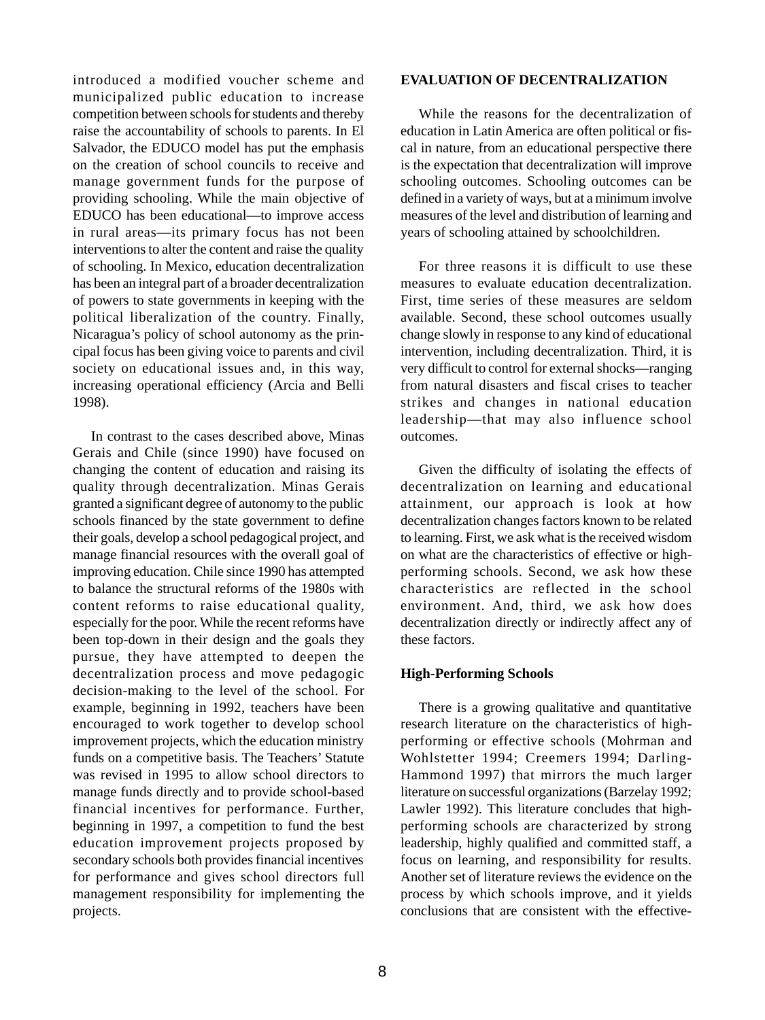introduced a modified voucher scheme and municipalized public education to increase competition between schools for students and thereby raise the accountability of schools to parents. In El Salvador, the EDUCO model has put the emphasis on the creation of school councils to receive and manage government funds for the purpose of providing schooling. While the main objective of EDUCO has been educational—to improve access in rural areas—its primary focus has not been interventions to alter the content and raise the quality of schooling. In Mexico, education decentralization has been an integral part of a broader decentralization of powers to state governments in keeping with the political liberalization of the country. Finally, Nicaragua's policy of school autonomy as the principal focus has been giving voice to parents and civil society on educational issues and, in this way, increasing operational efficiency (Arcia and Belli 1998).

In contrast to the cases described above, Minas Gerais and Chile (since 1990) have focused on changing the content of education and raising its quality through decentralization. Minas Gerais granted a significant degree of autonomy to the public schools financed by the state government to define their goals, develop a school pedagogical project, and manage financial resources with the overall goal of improving education. Chile since 1990 has attempted to balance the structural reforms of the 1980s with content reforms to raise educational quality, especially for the poor. While the recent reforms have been top-down in their design and the goals they pursue, they have attempted to deepen the decentralization process and move pedagogic decision-making to the level of the school. For example, beginning in 1992, teachers have been encouraged to work together to develop school improvement projects, which the education ministry funds on a competitive basis. The Teachers' Statute was revised in 1995 to allow school directors to manage funds directly and to provide school-based financial incentives for performance. Further, beginning in 1997, a competition to fund the best education improvement projects proposed by secondary schools both provides financial incentives for performance and gives school directors full management responsibility for implementing the projects.

While the reasons for the decentralization of education in Latin America are often political or fiscal in nature, from an educational perspective there is the expectation that decentralization will improve schooling outcomes. Schooling outcomes can be defined in a variety of ways, but at a minimum involve measures of the level and distribution of learning and years of schooling attained by schoolchildren.

For three reasons it is difficult to use these measures to evaluate education decentralization. First, time series of these measures are seldom available. Second, these school outcomes usually change slowly in response to any kind of educational intervention, including decentralization. Third, it is very difficult to control for external shocks—ranging from natural disasters and fiscal crises to teacher strikes and changes in national education leadership—that may also influence school outcomes.

Given the difficulty of isolating the effects of decentralization on learning and educational attainment, our approach is look at how decentralization changes factors known to be related to learning. First, we ask what is the received wisdom on what are the characteristics of effective or highperforming schools. Second, we ask how these characteristics are reflected in the school environment. And, third, we ask how does decentralization directly or indirectly affect any of these factors.

## **High-Performing Schools**

There is a growing qualitative and quantitative research literature on the characteristics of highperforming or effective schools (Mohrman and Wohlstetter 1994; Creemers 1994; Darling-Hammond 1997) that mirrors the much larger literature on successful organizations (Barzelay 1992; Lawler 1992). This literature concludes that highperforming schools are characterized by strong leadership, highly qualified and committed staff, a focus on learning, and responsibility for results. Another set of literature reviews the evidence on the process by which schools improve, and it yields conclusions that are consistent with the effective-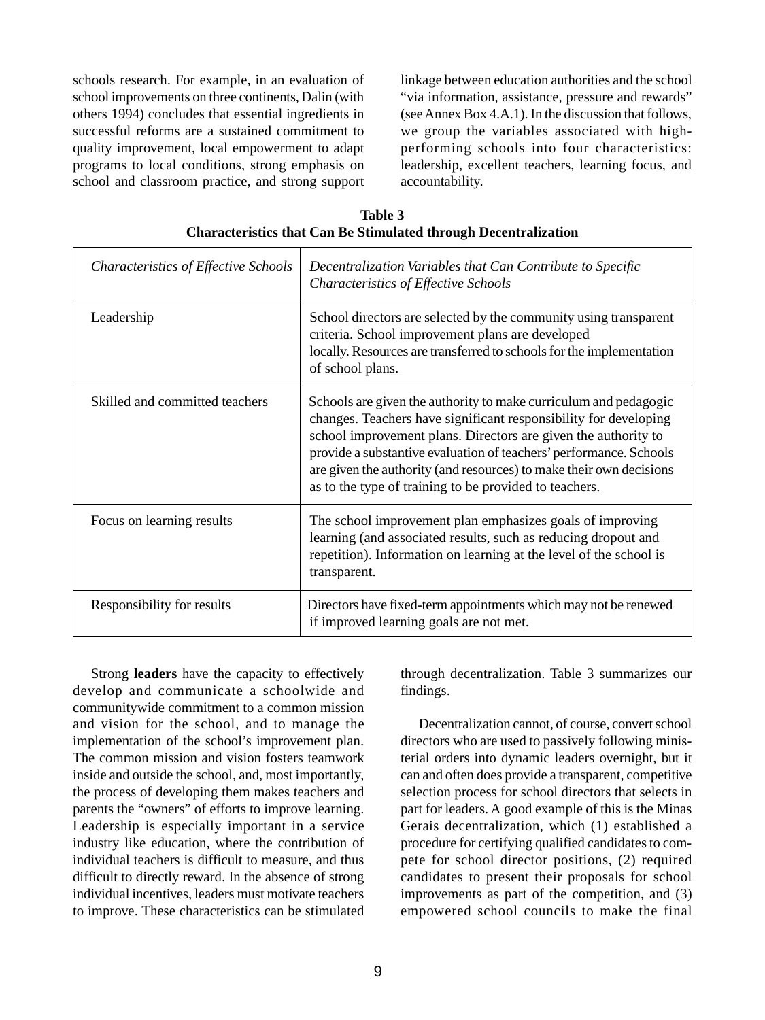schools research. For example, in an evaluation of school improvements on three continents, Dalin (with others 1994) concludes that essential ingredients in successful reforms are a sustained commitment to quality improvement, local empowerment to adapt programs to local conditions, strong emphasis on school and classroom practice, and strong support linkage between education authorities and the school "via information, assistance, pressure and rewards" (see Annex Box 4.A.1). In the discussion that follows, we group the variables associated with highperforming schools into four characteristics: leadership, excellent teachers, learning focus, and accountability.

| <b>Table 3</b>                                                         |
|------------------------------------------------------------------------|
| <b>Characteristics that Can Be Stimulated through Decentralization</b> |

| <b>Characteristics of Effective Schools</b> | Decentralization Variables that Can Contribute to Specific<br><b>Characteristics of Effective Schools</b>                                                                                                                                                                                                                                                                                                     |
|---------------------------------------------|---------------------------------------------------------------------------------------------------------------------------------------------------------------------------------------------------------------------------------------------------------------------------------------------------------------------------------------------------------------------------------------------------------------|
| Leadership                                  | School directors are selected by the community using transparent<br>criteria. School improvement plans are developed<br>locally. Resources are transferred to schools for the implementation<br>of school plans.                                                                                                                                                                                              |
| Skilled and committed teachers              | Schools are given the authority to make curriculum and pedagogic<br>changes. Teachers have significant responsibility for developing<br>school improvement plans. Directors are given the authority to<br>provide a substantive evaluation of teachers' performance. Schools<br>are given the authority (and resources) to make their own decisions<br>as to the type of training to be provided to teachers. |
| Focus on learning results                   | The school improvement plan emphasizes goals of improving<br>learning (and associated results, such as reducing dropout and<br>repetition). Information on learning at the level of the school is<br>transparent.                                                                                                                                                                                             |
| Responsibility for results                  | Directors have fixed-term appointments which may not be renewed<br>if improved learning goals are not met.                                                                                                                                                                                                                                                                                                    |

Strong **leaders** have the capacity to effectively develop and communicate a schoolwide and communitywide commitment to a common mission and vision for the school, and to manage the implementation of the school's improvement plan. The common mission and vision fosters teamwork inside and outside the school, and, most importantly, the process of developing them makes teachers and parents the "owners" of efforts to improve learning. Leadership is especially important in a service industry like education, where the contribution of individual teachers is difficult to measure, and thus difficult to directly reward. In the absence of strong individual incentives, leaders must motivate teachers to improve. These characteristics can be stimulated

through decentralization. Table 3 summarizes our findings.

Decentralization cannot, of course, convert school directors who are used to passively following ministerial orders into dynamic leaders overnight, but it can and often does provide a transparent, competitive selection process for school directors that selects in part for leaders. A good example of this is the Minas Gerais decentralization, which (1) established a procedure for certifying qualified candidates to compete for school director positions, (2) required candidates to present their proposals for school improvements as part of the competition, and (3) empowered school councils to make the final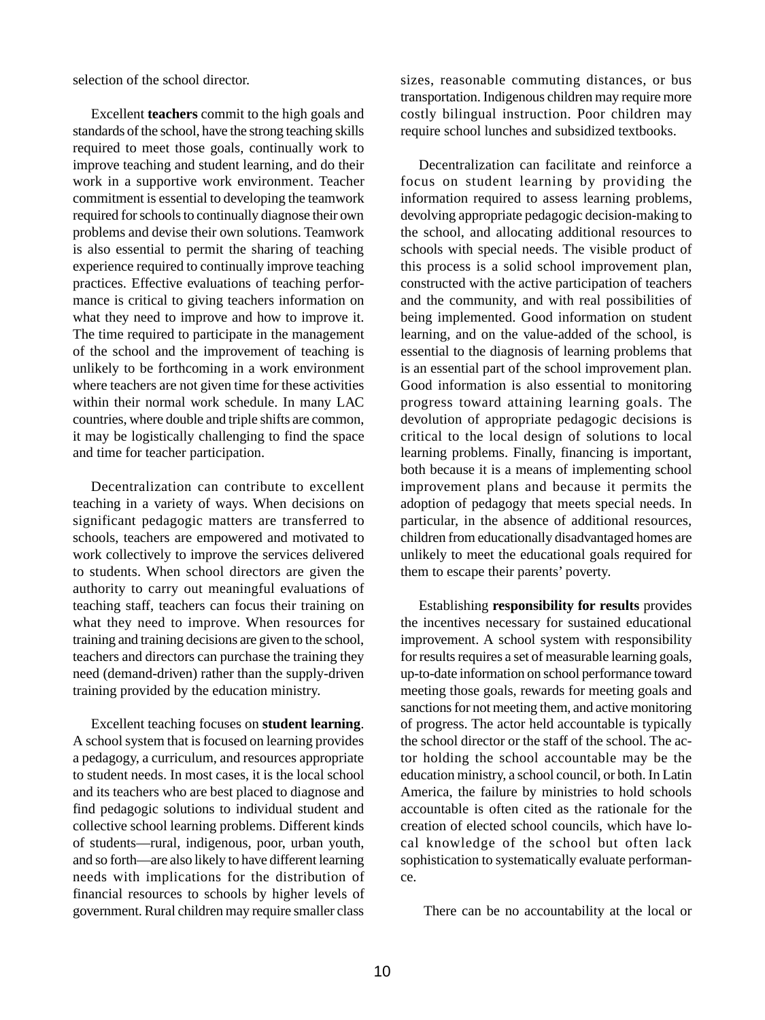selection of the school director.

Excellent **teachers** commit to the high goals and standards of the school, have the strong teaching skills required to meet those goals, continually work to improve teaching and student learning, and do their work in a supportive work environment. Teacher commitment is essential to developing the teamwork required for schools to continually diagnose their own problems and devise their own solutions. Teamwork is also essential to permit the sharing of teaching experience required to continually improve teaching practices. Effective evaluations of teaching performance is critical to giving teachers information on what they need to improve and how to improve it. The time required to participate in the management of the school and the improvement of teaching is unlikely to be forthcoming in a work environment where teachers are not given time for these activities within their normal work schedule. In many LAC countries, where double and triple shifts are common, it may be logistically challenging to find the space and time for teacher participation.

Decentralization can contribute to excellent teaching in a variety of ways. When decisions on significant pedagogic matters are transferred to schools, teachers are empowered and motivated to work collectively to improve the services delivered to students. When school directors are given the authority to carry out meaningful evaluations of teaching staff, teachers can focus their training on what they need to improve. When resources for training and training decisions are given to the school, teachers and directors can purchase the training they need (demand-driven) rather than the supply-driven training provided by the education ministry.

Excellent teaching focuses on **student learning**. A school system that is focused on learning provides a pedagogy, a curriculum, and resources appropriate to student needs. In most cases, it is the local school and its teachers who are best placed to diagnose and find pedagogic solutions to individual student and collective school learning problems. Different kinds of students—rural, indigenous, poor, urban youth, and so forth—are also likely to have different learning needs with implications for the distribution of financial resources to schools by higher levels of government. Rural children may require smaller class

sizes, reasonable commuting distances, or bus transportation. Indigenous children may require more costly bilingual instruction. Poor children may require school lunches and subsidized textbooks.

Decentralization can facilitate and reinforce a focus on student learning by providing the information required to assess learning problems, devolving appropriate pedagogic decision-making to the school, and allocating additional resources to schools with special needs. The visible product of this process is a solid school improvement plan, constructed with the active participation of teachers and the community, and with real possibilities of being implemented. Good information on student learning, and on the value-added of the school, is essential to the diagnosis of learning problems that is an essential part of the school improvement plan. Good information is also essential to monitoring progress toward attaining learning goals. The devolution of appropriate pedagogic decisions is critical to the local design of solutions to local learning problems. Finally, financing is important, both because it is a means of implementing school improvement plans and because it permits the adoption of pedagogy that meets special needs. In particular, in the absence of additional resources, children from educationally disadvantaged homes are unlikely to meet the educational goals required for them to escape their parents' poverty.

Establishing **responsibility for results** provides the incentives necessary for sustained educational improvement. A school system with responsibility for results requires a set of measurable learning goals, up-to-date information on school performance toward meeting those goals, rewards for meeting goals and sanctions for not meeting them, and active monitoring of progress. The actor held accountable is typically the school director or the staff of the school. The actor holding the school accountable may be the education ministry, a school council, or both. In Latin America, the failure by ministries to hold schools accountable is often cited as the rationale for the creation of elected school councils, which have local knowledge of the school but often lack sophistication to systematically evaluate performance.

There can be no accountability at the local or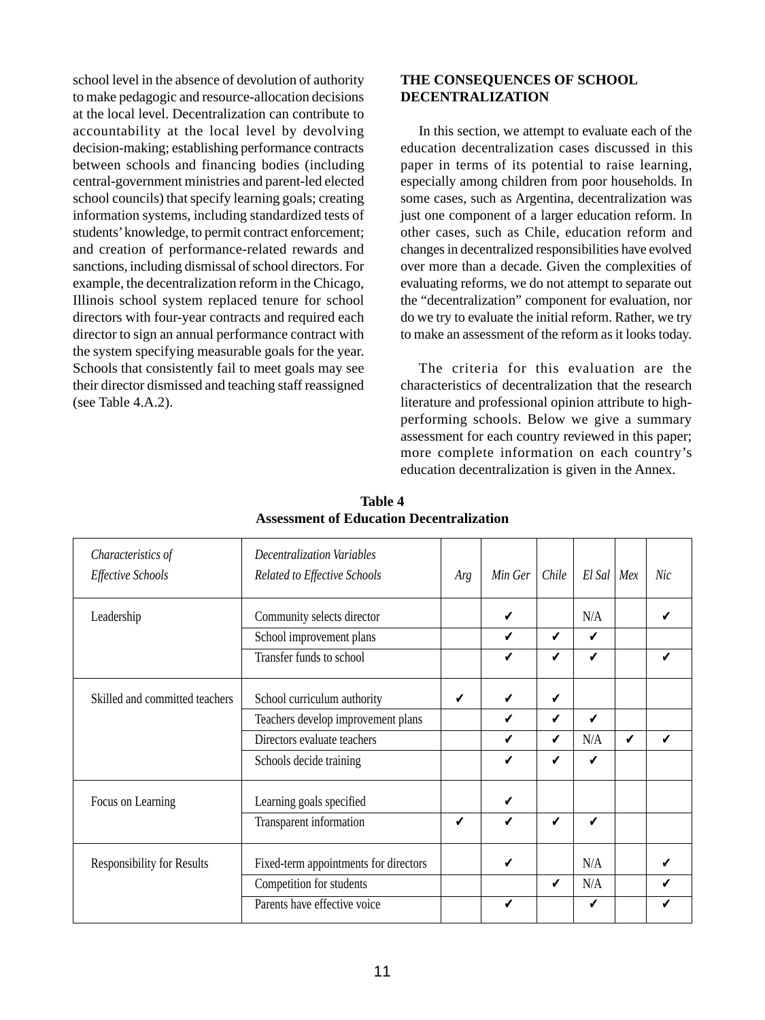school level in the absence of devolution of authority to make pedagogic and resource-allocation decisions at the local level. Decentralization can contribute to accountability at the local level by devolving decision-making; establishing performance contracts between schools and financing bodies (including central-government ministries and parent-led elected school councils) that specify learning goals; creating information systems, including standardized tests of students' knowledge, to permit contract enforcement; and creation of performance-related rewards and sanctions, including dismissal of school directors. For example, the decentralization reform in the Chicago, Illinois school system replaced tenure for school directors with four-year contracts and required each director to sign an annual performance contract with the system specifying measurable goals for the year. Schools that consistently fail to meet goals may see their director dismissed and teaching staff reassigned (see Table 4.A.2).

## **THE CONSEQUENCES OF SCHOOL DECENTRALIZATION**

In this section, we attempt to evaluate each of the education decentralization cases discussed in this paper in terms of its potential to raise learning, especially among children from poor households. In some cases, such as Argentina, decentralization was just one component of a larger education reform. In other cases, such as Chile, education reform and changes in decentralized responsibilities have evolved over more than a decade. Given the complexities of evaluating reforms, we do not attempt to separate out the "decentralization" component for evaluation, nor do we try to evaluate the initial reform. Rather, we try to make an assessment of the reform as it looks today.

The criteria for this evaluation are the characteristics of decentralization that the research literature and professional opinion attribute to highperforming schools. Below we give a summary assessment for each country reviewed in this paper; more complete information on each country's education decentralization is given in the Annex.

| Characteristics of<br><b>Effective Schools</b> | Decentralization Variables<br>Related to Effective Schools | Arg | Min Ger | Chile | $El$ Sal   Mex |   | Nic |
|------------------------------------------------|------------------------------------------------------------|-----|---------|-------|----------------|---|-----|
| Leadership                                     | Community selects director                                 |     | V       |       | N/A            |   |     |
|                                                | School improvement plans                                   |     | ✓       | V     | ✓              |   |     |
|                                                | Transfer funds to school                                   |     | ✓       | V     | ✓              |   |     |
| Skilled and committed teachers                 | School curriculum authority                                | ✓   | V       | ✓     |                |   |     |
|                                                | Teachers develop improvement plans                         |     | ✓       | V     | ✓              |   |     |
|                                                | Directors evaluate teachers                                |     | V       | V     | N/A            | V | V   |
|                                                | Schools decide training                                    |     | ✓       | ✓     | V              |   |     |
| Focus on Learning                              | Learning goals specified                                   |     | ✓       |       |                |   |     |
|                                                | Transparent information                                    | ✓   | ✓       | ✓     | ✓              |   |     |
| <b>Responsibility for Results</b>              | Fixed-term appointments for directors                      |     | ✓       |       | N/A            |   |     |
|                                                | Competition for students                                   |     |         | ✓     | N/A            |   |     |
|                                                | Parents have effective voice                               |     | ✓       |       | ✔              |   |     |

**Table 4 Assessment of Education Decentralization**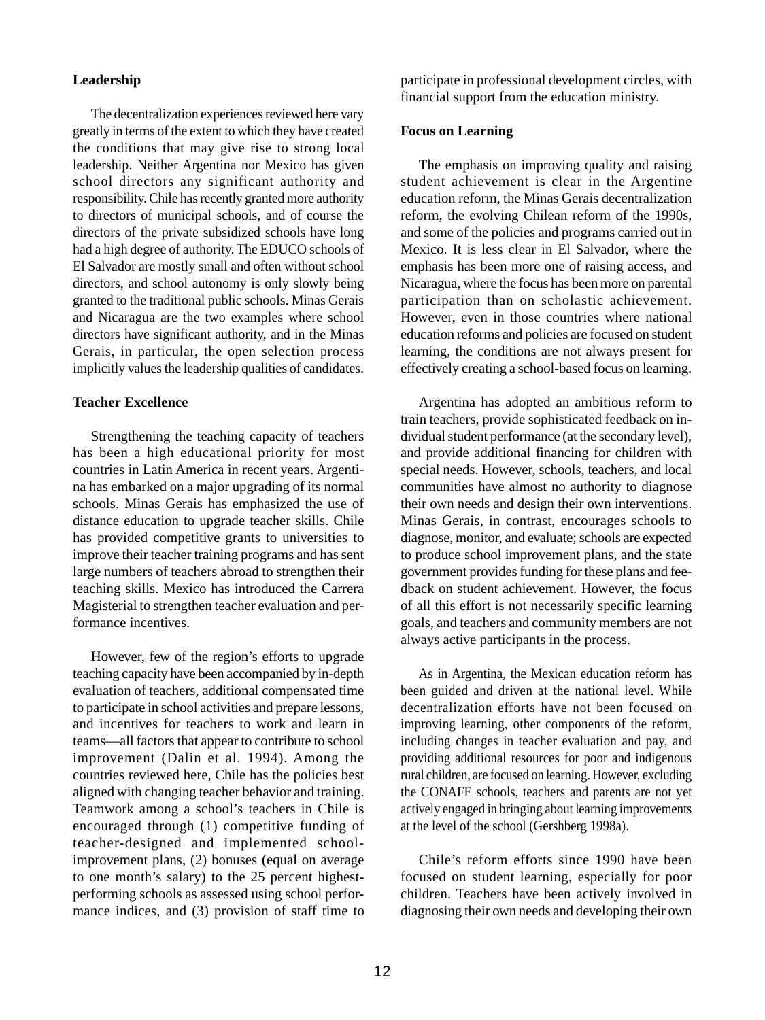#### **Leadership**

The decentralization experiences reviewed here vary greatly in terms of the extent to which they have created the conditions that may give rise to strong local leadership. Neither Argentina nor Mexico has given school directors any significant authority and responsibility. Chile has recently granted more authority to directors of municipal schools, and of course the directors of the private subsidized schools have long had a high degree of authority. The EDUCO schools of El Salvador are mostly small and often without school directors, and school autonomy is only slowly being granted to the traditional public schools. Minas Gerais and Nicaragua are the two examples where school directors have significant authority, and in the Minas Gerais, in particular, the open selection process implicitly values the leadership qualities of candidates.

#### **Teacher Excellence**

Strengthening the teaching capacity of teachers has been a high educational priority for most countries in Latin America in recent years. Argentina has embarked on a major upgrading of its normal schools. Minas Gerais has emphasized the use of distance education to upgrade teacher skills. Chile has provided competitive grants to universities to improve their teacher training programs and has sent large numbers of teachers abroad to strengthen their teaching skills. Mexico has introduced the Carrera Magisterial to strengthen teacher evaluation and performance incentives.

However, few of the region's efforts to upgrade teaching capacity have been accompanied by in-depth evaluation of teachers, additional compensated time to participate in school activities and prepare lessons, and incentives for teachers to work and learn in teams—all factors that appear to contribute to school improvement (Dalin et al. 1994). Among the countries reviewed here, Chile has the policies best aligned with changing teacher behavior and training. Teamwork among a school's teachers in Chile is encouraged through (1) competitive funding of teacher-designed and implemented schoolimprovement plans, (2) bonuses (equal on average to one month's salary) to the 25 percent highestperforming schools as assessed using school performance indices, and (3) provision of staff time to participate in professional development circles, with financial support from the education ministry.

#### **Focus on Learning**

The emphasis on improving quality and raising student achievement is clear in the Argentine education reform, the Minas Gerais decentralization reform, the evolving Chilean reform of the 1990s, and some of the policies and programs carried out in Mexico. It is less clear in El Salvador, where the emphasis has been more one of raising access, and Nicaragua, where the focus has been more on parental participation than on scholastic achievement. However, even in those countries where national education reforms and policies are focused on student learning, the conditions are not always present for effectively creating a school-based focus on learning.

Argentina has adopted an ambitious reform to train teachers, provide sophisticated feedback on individual student performance (at the secondary level), and provide additional financing for children with special needs. However, schools, teachers, and local communities have almost no authority to diagnose their own needs and design their own interventions. Minas Gerais, in contrast, encourages schools to diagnose, monitor, and evaluate; schools are expected to produce school improvement plans, and the state government provides funding for these plans and feedback on student achievement. However, the focus of all this effort is not necessarily specific learning goals, and teachers and community members are not always active participants in the process.

As in Argentina, the Mexican education reform has been guided and driven at the national level. While decentralization efforts have not been focused on improving learning, other components of the reform, including changes in teacher evaluation and pay, and providing additional resources for poor and indigenous rural children, are focused on learning. However, excluding the CONAFE schools, teachers and parents are not yet actively engaged in bringing about learning improvements at the level of the school (Gershberg 1998a).

Chile's reform efforts since 1990 have been focused on student learning, especially for poor children. Teachers have been actively involved in diagnosing their own needs and developing their own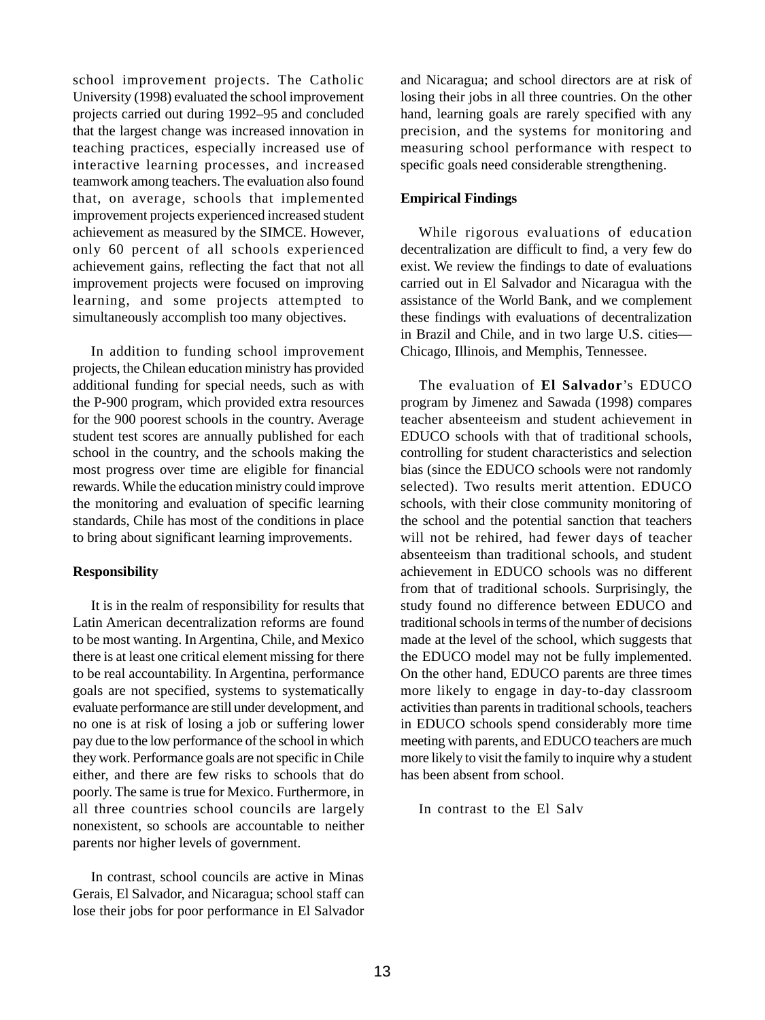school improvement projects. The Catholic University (1998) evaluated the school improvement projects carried out during 1992–95 and concluded that the largest change was increased innovation in teaching practices, especially increased use of interactive learning processes, and increased teamwork among teachers. The evaluation also found that, on average, schools that implemented improvement projects experienced increased student achievement as measured by the SIMCE. However, only 60 percent of all schools experienced achievement gains, reflecting the fact that not all improvement projects were focused on improving learning, and some projects attempted to simultaneously accomplish too many objectives.

In addition to funding school improvement projects, the Chilean education ministry has provided additional funding for special needs, such as with the P-900 program, which provided extra resources for the 900 poorest schools in the country. Average student test scores are annually published for each school in the country, and the schools making the most progress over time are eligible for financial rewards. While the education ministry could improve the monitoring and evaluation of specific learning standards, Chile has most of the conditions in place to bring about significant learning improvements.

#### **Responsibility**

It is in the realm of responsibility for results that Latin American decentralization reforms are found to be most wanting. In Argentina, Chile, and Mexico there is at least one critical element missing for there to be real accountability. In Argentina, performance goals are not specified, systems to systematically evaluate performance are still under development, and no one is at risk of losing a job or suffering lower pay due to the low performance of the school in which they work. Performance goals are not specific in Chile either, and there are few risks to schools that do poorly. The same is true for Mexico. Furthermore, in all three countries school councils are largely nonexistent, so schools are accountable to neither parents nor higher levels of government.

In contrast, school councils are active in Minas Gerais, El Salvador, and Nicaragua; school staff can lose their jobs for poor performance in El Salvador and Nicaragua; and school directors are at risk of losing their jobs in all three countries. On the other hand, learning goals are rarely specified with any precision, and the systems for monitoring and measuring school performance with respect to specific goals need considerable strengthening.

## **Empirical Findings**

While rigorous evaluations of education decentralization are difficult to find, a very few do exist. We review the findings to date of evaluations carried out in El Salvador and Nicaragua with the assistance of the World Bank, and we complement these findings with evaluations of decentralization in Brazil and Chile, and in two large U.S. cities— Chicago, Illinois, and Memphis, Tennessee.

The evaluation of **El Salvador**'s EDUCO program by Jimenez and Sawada (1998) compares teacher absenteeism and student achievement in EDUCO schools with that of traditional schools, controlling for student characteristics and selection bias (since the EDUCO schools were not randomly selected). Two results merit attention. EDUCO schools, with their close community monitoring of the school and the potential sanction that teachers will not be rehired, had fewer days of teacher absenteeism than traditional schools, and student achievement in EDUCO schools was no different from that of traditional schools. Surprisingly, the study found no difference between EDUCO and traditional schools in terms of the number of decisions made at the level of the school, which suggests that the EDUCO model may not be fully implemented. On the other hand, EDUCO parents are three times more likely to engage in day-to-day classroom activities than parents in traditional schools, teachers in EDUCO schools spend considerably more time meeting with parents, and EDUCO teachers are much more likely to visit the family to inquire why a student has been absent from school.

In contrast to the El Salv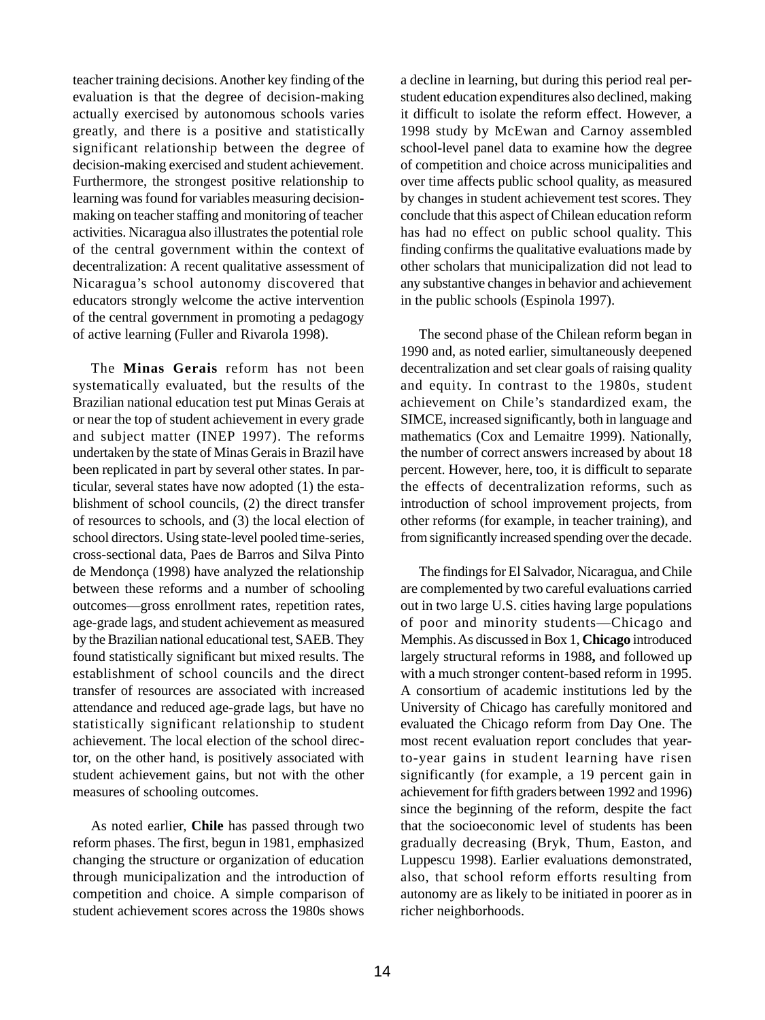teacher training decisions. Another key finding of the evaluation is that the degree of decision-making actually exercised by autonomous schools varies greatly, and there is a positive and statistically significant relationship between the degree of decision-making exercised and student achievement. Furthermore, the strongest positive relationship to learning was found for variables measuring decisionmaking on teacher staffing and monitoring of teacher activities. Nicaragua also illustrates the potential role of the central government within the context of decentralization: A recent qualitative assessment of Nicaragua's school autonomy discovered that educators strongly welcome the active intervention of the central government in promoting a pedagogy of active learning (Fuller and Rivarola 1998).

The **Minas Gerais** reform has not been systematically evaluated, but the results of the Brazilian national education test put Minas Gerais at or near the top of student achievement in every grade and subject matter (INEP 1997). The reforms undertaken by the state of Minas Gerais in Brazil have been replicated in part by several other states. In particular, several states have now adopted (1) the establishment of school councils, (2) the direct transfer of resources to schools, and (3) the local election of school directors. Using state-level pooled time-series, cross-sectional data, Paes de Barros and Silva Pinto de Mendonça (1998) have analyzed the relationship between these reforms and a number of schooling outcomes—gross enrollment rates, repetition rates, age-grade lags, and student achievement as measured by the Brazilian national educational test, SAEB. They found statistically significant but mixed results. The establishment of school councils and the direct transfer of resources are associated with increased attendance and reduced age-grade lags, but have no statistically significant relationship to student achievement. The local election of the school director, on the other hand, is positively associated with student achievement gains, but not with the other measures of schooling outcomes.

As noted earlier, **Chile** has passed through two reform phases. The first, begun in 1981, emphasized changing the structure or organization of education through municipalization and the introduction of competition and choice. A simple comparison of student achievement scores across the 1980s shows

a decline in learning, but during this period real perstudent education expenditures also declined, making it difficult to isolate the reform effect. However, a 1998 study by McEwan and Carnoy assembled school-level panel data to examine how the degree of competition and choice across municipalities and over time affects public school quality, as measured by changes in student achievement test scores. They conclude that this aspect of Chilean education reform has had no effect on public school quality. This finding confirms the qualitative evaluations made by other scholars that municipalization did not lead to any substantive changes in behavior and achievement in the public schools (Espinola 1997).

The second phase of the Chilean reform began in 1990 and, as noted earlier, simultaneously deepened decentralization and set clear goals of raising quality and equity. In contrast to the 1980s, student achievement on Chile's standardized exam, the SIMCE, increased significantly, both in language and mathematics (Cox and Lemaitre 1999). Nationally, the number of correct answers increased by about 18 percent. However, here, too, it is difficult to separate the effects of decentralization reforms, such as introduction of school improvement projects, from other reforms (for example, in teacher training), and from significantly increased spending over the decade.

The findings for El Salvador, Nicaragua, and Chile are complemented by two careful evaluations carried out in two large U.S. cities having large populations of poor and minority students—Chicago and Memphis. As discussed in Box 1, **Chicago** introduced largely structural reforms in 1988**,** and followed up with a much stronger content-based reform in 1995. A consortium of academic institutions led by the University of Chicago has carefully monitored and evaluated the Chicago reform from Day One. The most recent evaluation report concludes that yearto-year gains in student learning have risen significantly (for example, a 19 percent gain in achievement for fifth graders between 1992 and 1996) since the beginning of the reform, despite the fact that the socioeconomic level of students has been gradually decreasing (Bryk, Thum, Easton, and Luppescu 1998). Earlier evaluations demonstrated, also, that school reform efforts resulting from autonomy are as likely to be initiated in poorer as in richer neighborhoods.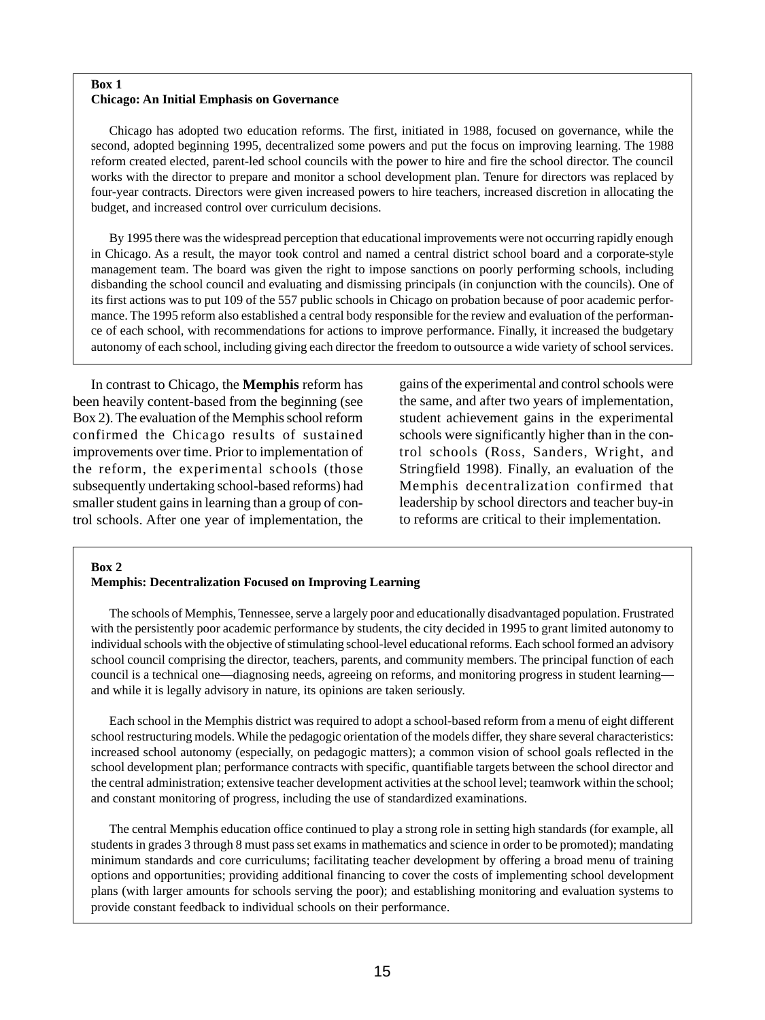#### **Box 1 Chicago: An Initial Emphasis on Governance**

Chicago has adopted two education reforms. The first, initiated in 1988, focused on governance, while the second, adopted beginning 1995, decentralized some powers and put the focus on improving learning. The 1988 reform created elected, parent-led school councils with the power to hire and fire the school director. The council works with the director to prepare and monitor a school development plan. Tenure for directors was replaced by four-year contracts. Directors were given increased powers to hire teachers, increased discretion in allocating the budget, and increased control over curriculum decisions.

By 1995 there was the widespread perception that educational improvements were not occurring rapidly enough in Chicago. As a result, the mayor took control and named a central district school board and a corporate-style management team. The board was given the right to impose sanctions on poorly performing schools, including disbanding the school council and evaluating and dismissing principals (in conjunction with the councils). One of its first actions was to put 109 of the 557 public schools in Chicago on probation because of poor academic performance. The 1995 reform also established a central body responsible for the review and evaluation of the performance of each school, with recommendations for actions to improve performance. Finally, it increased the budgetary autonomy of each school, including giving each director the freedom to outsource a wide variety of school services.

In contrast to Chicago, the **Memphis** reform has been heavily content-based from the beginning (see Box 2). The evaluation of the Memphis school reform confirmed the Chicago results of sustained improvements over time. Prior to implementation of the reform, the experimental schools (those subsequently undertaking school-based reforms) had smaller student gains in learning than a group of control schools. After one year of implementation, the

gains of the experimental and control schools were the same, and after two years of implementation, student achievement gains in the experimental schools were significantly higher than in the control schools (Ross, Sanders, Wright, and Stringfield 1998). Finally, an evaluation of the Memphis decentralization confirmed that leadership by school directors and teacher buy-in to reforms are critical to their implementation.

#### **Box 2**

#### **Memphis: Decentralization Focused on Improving Learning**

The schools of Memphis, Tennessee, serve a largely poor and educationally disadvantaged population. Frustrated with the persistently poor academic performance by students, the city decided in 1995 to grant limited autonomy to individual schools with the objective of stimulating school-level educational reforms. Each school formed an advisory school council comprising the director, teachers, parents, and community members. The principal function of each council is a technical one—diagnosing needs, agreeing on reforms, and monitoring progress in student learning and while it is legally advisory in nature, its opinions are taken seriously.

Each school in the Memphis district was required to adopt a school-based reform from a menu of eight different school restructuring models. While the pedagogic orientation of the models differ, they share several characteristics: increased school autonomy (especially, on pedagogic matters); a common vision of school goals reflected in the school development plan; performance contracts with specific, quantifiable targets between the school director and the central administration; extensive teacher development activities at the school level; teamwork within the school; and constant monitoring of progress, including the use of standardized examinations.

The central Memphis education office continued to play a strong role in setting high standards (for example, all students in grades 3 through 8 must pass set exams in mathematics and science in order to be promoted); mandating minimum standards and core curriculums; facilitating teacher development by offering a broad menu of training options and opportunities; providing additional financing to cover the costs of implementing school development plans (with larger amounts for schools serving the poor); and establishing monitoring and evaluation systems to provide constant feedback to individual schools on their performance.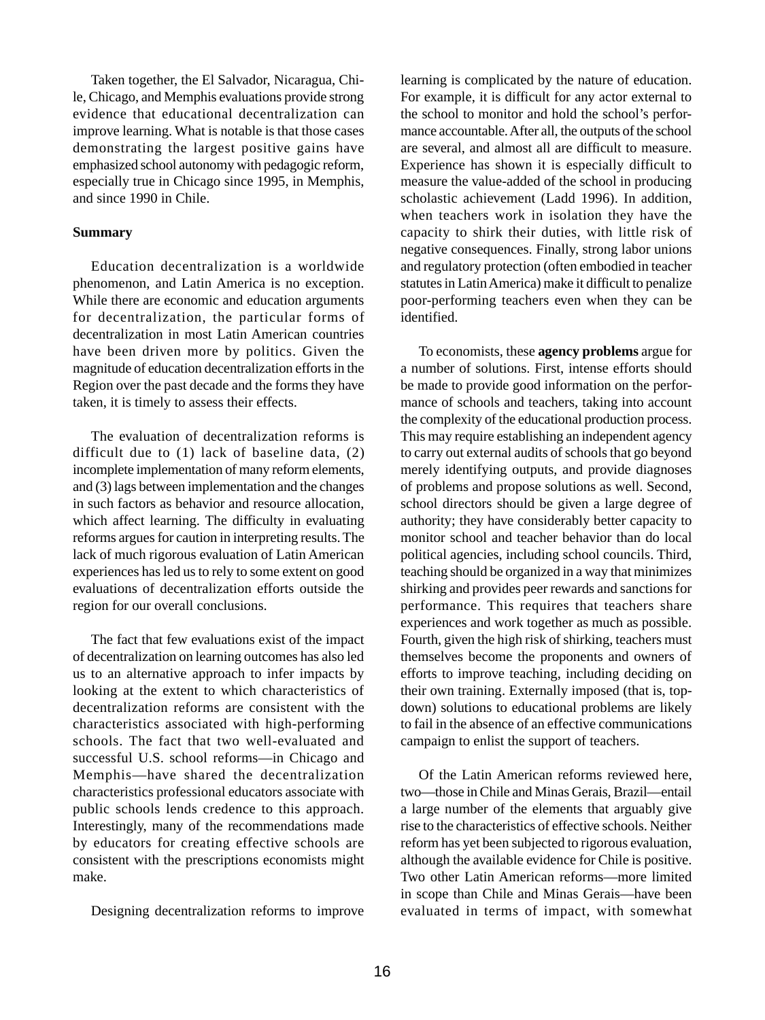Taken together, the El Salvador, Nicaragua, Chile, Chicago, and Memphis evaluations provide strong evidence that educational decentralization can improve learning. What is notable is that those cases demonstrating the largest positive gains have emphasized school autonomy with pedagogic reform, especially true in Chicago since 1995, in Memphis, and since 1990 in Chile.

#### **Summary**

Education decentralization is a worldwide phenomenon, and Latin America is no exception. While there are economic and education arguments for decentralization, the particular forms of decentralization in most Latin American countries have been driven more by politics. Given the magnitude of education decentralization efforts in the Region over the past decade and the forms they have taken, it is timely to assess their effects.

The evaluation of decentralization reforms is difficult due to (1) lack of baseline data, (2) incomplete implementation of many reform elements, and (3) lags between implementation and the changes in such factors as behavior and resource allocation, which affect learning. The difficulty in evaluating reforms argues for caution in interpreting results. The lack of much rigorous evaluation of Latin American experiences has led us to rely to some extent on good evaluations of decentralization efforts outside the region for our overall conclusions.

The fact that few evaluations exist of the impact of decentralization on learning outcomes has also led us to an alternative approach to infer impacts by looking at the extent to which characteristics of decentralization reforms are consistent with the characteristics associated with high-performing schools. The fact that two well-evaluated and successful U.S. school reforms—in Chicago and Memphis—have shared the decentralization characteristics professional educators associate with public schools lends credence to this approach. Interestingly, many of the recommendations made by educators for creating effective schools are consistent with the prescriptions economists might make.

Designing decentralization reforms to improve

learning is complicated by the nature of education. For example, it is difficult for any actor external to the school to monitor and hold the school's performance accountable.After all, the outputs of the school are several, and almost all are difficult to measure. Experience has shown it is especially difficult to measure the value-added of the school in producing scholastic achievement (Ladd 1996). In addition, when teachers work in isolation they have the capacity to shirk their duties, with little risk of negative consequences. Finally, strong labor unions and regulatory protection (often embodied in teacher statutes in Latin America) make it difficult to penalize poor-performing teachers even when they can be identified.

To economists, these **agency problems** argue for a number of solutions. First, intense efforts should be made to provide good information on the performance of schools and teachers, taking into account the complexity of the educational production process. This may require establishing an independent agency to carry out external audits of schools that go beyond merely identifying outputs, and provide diagnoses of problems and propose solutions as well. Second, school directors should be given a large degree of authority; they have considerably better capacity to monitor school and teacher behavior than do local political agencies, including school councils. Third, teaching should be organized in a way that minimizes shirking and provides peer rewards and sanctions for performance. This requires that teachers share experiences and work together as much as possible. Fourth, given the high risk of shirking, teachers must themselves become the proponents and owners of efforts to improve teaching, including deciding on their own training. Externally imposed (that is, topdown) solutions to educational problems are likely to fail in the absence of an effective communications campaign to enlist the support of teachers.

Of the Latin American reforms reviewed here, two—those in Chile and Minas Gerais, Brazil—entail a large number of the elements that arguably give rise to the characteristics of effective schools. Neither reform has yet been subjected to rigorous evaluation, although the available evidence for Chile is positive. Two other Latin American reforms—more limited in scope than Chile and Minas Gerais—have been evaluated in terms of impact, with somewhat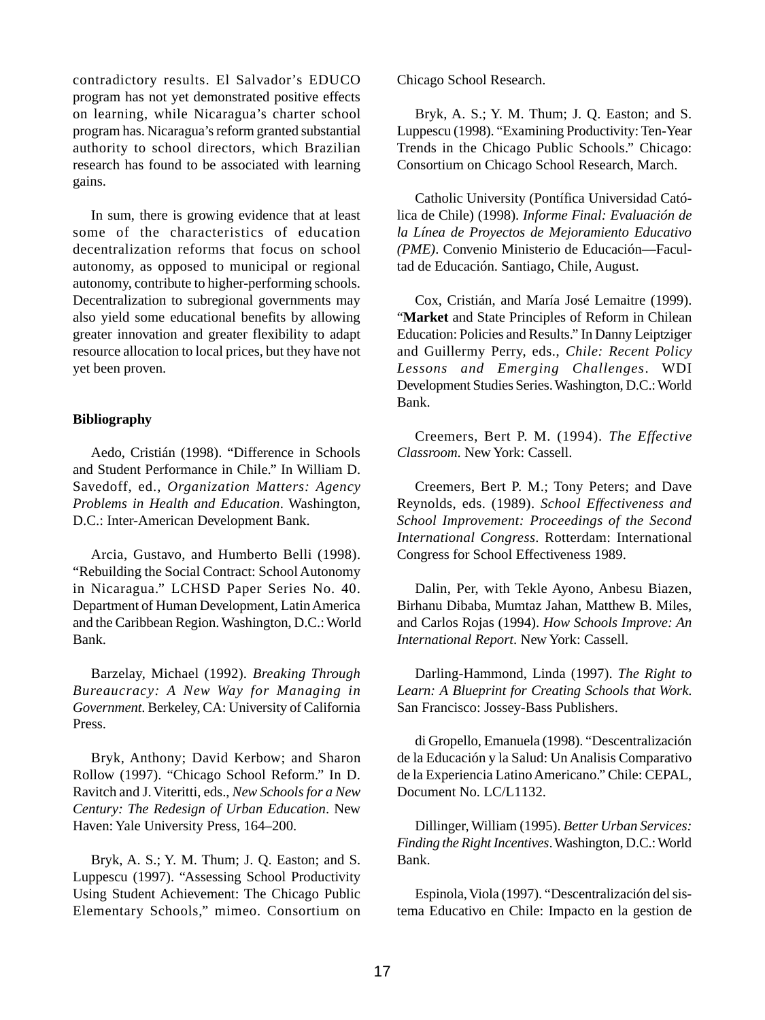contradictory results. El Salvador's EDUCO program has not yet demonstrated positive effects on learning, while Nicaragua's charter school program has. Nicaragua's reform granted substantial authority to school directors, which Brazilian research has found to be associated with learning gains.

In sum, there is growing evidence that at least some of the characteristics of education decentralization reforms that focus on school autonomy, as opposed to municipal or regional autonomy, contribute to higher-performing schools. Decentralization to subregional governments may also yield some educational benefits by allowing greater innovation and greater flexibility to adapt resource allocation to local prices, but they have not yet been proven.

## **Bibliography**

Aedo, Cristián (1998). "Difference in Schools and Student Performance in Chile." In William D. Savedoff, ed., *Organization Matters: Agency Problems in Health and Education*. Washington, D.C.: Inter-American Development Bank.

Arcia, Gustavo, and Humberto Belli (1998). "Rebuilding the Social Contract: School Autonomy in Nicaragua." LCHSD Paper Series No. 40. Department of Human Development, Latin America and the Caribbean Region. Washington, D.C.: World Bank.

Barzelay, Michael (1992). *Breaking Through Bureaucracy: A New Way for Managing in Government*. Berkeley, CA: University of California Press.

Bryk, Anthony; David Kerbow; and Sharon Rollow (1997). "Chicago School Reform." In D. Ravitch and J.Viteritti, eds., *New Schools for a New Century: The Redesign of Urban Education*. New Haven: Yale University Press, 164–200.

Bryk, A. S.; Y. M. Thum; J. Q. Easton; and S. Luppescu (1997). "Assessing School Productivity Using Student Achievement: The Chicago Public Elementary Schools," mimeo. Consortium on Chicago School Research.

Bryk, A. S.; Y. M. Thum; J. Q. Easton; and S. Luppescu (1998). "Examining Productivity: Ten-Year Trends in the Chicago Public Schools." Chicago: Consortium on Chicago School Research, March.

Catholic University (Pontífica Universidad Católica de Chile) (1998). *Informe Final: Evaluación de la Línea de Proyectos de Mejoramiento Educativo (PME)*. Convenio Ministerio de Educación—Facultad de Educación. Santiago, Chile, August.

Cox, Cristián, and María José Lemaitre (1999). "**Market** and State Principles of Reform in Chilean Education: Policies and Results." In Danny Leiptziger and Guillermy Perry, eds., *Chile: Recent Policy Lessons and Emerging Challenges*. WDI Development Studies Series. Washington, D.C.:World Bank.

Creemers, Bert P. M. (1994). *The Effective Classroom*. New York: Cassell.

Creemers, Bert P. M.; Tony Peters; and Dave Reynolds, eds. (1989). *School Effectiveness and School Improvement: Proceedings of the Second International Congress*. Rotterdam: International Congress for School Effectiveness 1989.

Dalin, Per, with Tekle Ayono, Anbesu Biazen, Birhanu Dibaba, Mumtaz Jahan, Matthew B. Miles, and Carlos Rojas (1994). *How Schools Improve: An International Report*. New York: Cassell.

Darling-Hammond, Linda (1997). *The Right to Learn: A Blueprint for Creating Schools that Work*. San Francisco: Jossey-Bass Publishers.

di Gropello, Emanuela (1998). "Descentralización de la Educación y la Salud: Un Analisis Comparativo de la Experiencia Latino Americano." Chile: CEPAL, Document No. LC/L1132.

Dillinger, William (1995). *Better Urban Services: Finding the Right Incentives*. Washington, D.C.: World Bank.

Espinola, Viola (1997). "Descentralización del sistema Educativo en Chile: Impacto en la gestion de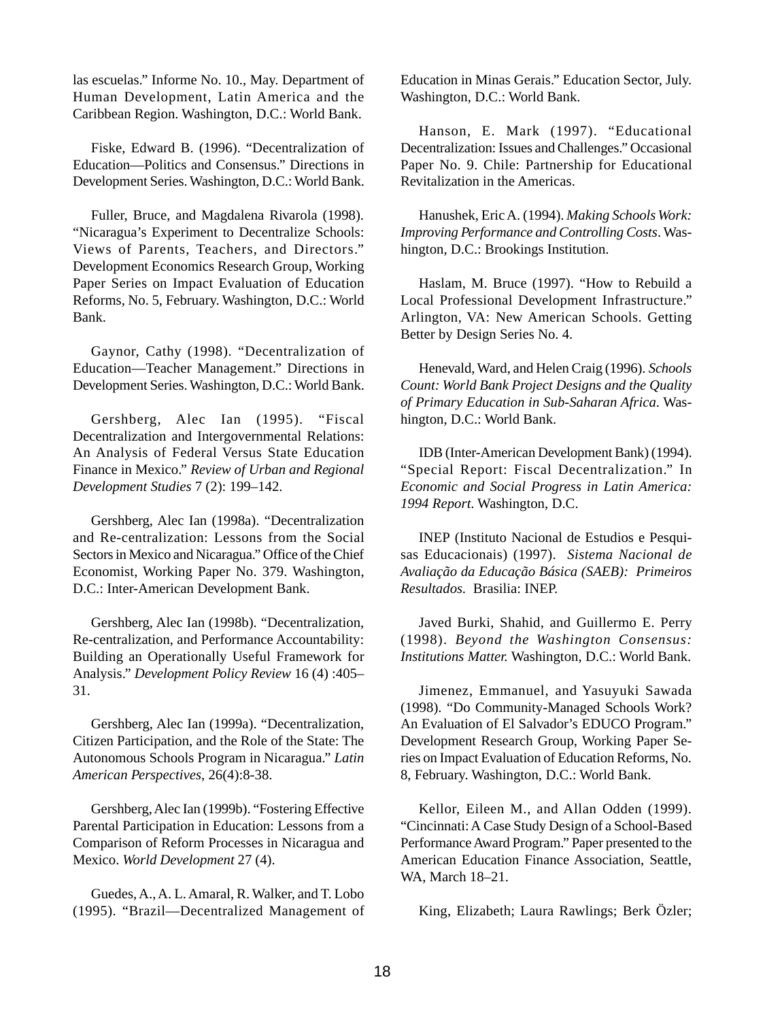las escuelas." Informe No. 10., May. Department of Human Development, Latin America and the Caribbean Region. Washington, D.C.: World Bank.

Fiske, Edward B. (1996). "Decentralization of Education—Politics and Consensus." Directions in Development Series. Washington, D.C.: World Bank.

Fuller, Bruce, and Magdalena Rivarola (1998). "Nicaragua's Experiment to Decentralize Schools: Views of Parents, Teachers, and Directors." Development Economics Research Group, Working Paper Series on Impact Evaluation of Education Reforms, No. 5, February. Washington, D.C.: World Bank.

Gaynor, Cathy (1998). "Decentralization of Education—Teacher Management." Directions in Development Series. Washington, D.C.: World Bank.

Gershberg, Alec Ian (1995). "Fiscal Decentralization and Intergovernmental Relations: An Analysis of Federal Versus State Education Finance in Mexico." *Review of Urban and Regional Development Studies* 7 (2): 199–142.

Gershberg, Alec Ian (1998a). "Decentralization and Re-centralization: Lessons from the Social Sectors in Mexico and Nicaragua." Office of the Chief Economist, Working Paper No. 379. Washington, D.C.: Inter-American Development Bank.

Gershberg, Alec Ian (1998b). "Decentralization, Re-centralization, and Performance Accountability: Building an Operationally Useful Framework for Analysis." *Development Policy Review* 16 (4) :405– 31.

Gershberg, Alec Ian (1999a). "Decentralization, Citizen Participation, and the Role of the State: The Autonomous Schools Program in Nicaragua." *Latin American Perspectives*, 26(4):8-38.

Gershberg,Alec Ian (1999b). "Fostering Effective Parental Participation in Education: Lessons from a Comparison of Reform Processes in Nicaragua and Mexico. *World Development* 27 (4).

Guedes, A., A. L. Amaral, R. Walker, and T. Lobo (1995). "Brazil—Decentralized Management of Education in Minas Gerais." Education Sector, July. Washington, D.C.: World Bank.

Hanson, E. Mark (1997). "Educational Decentralization: Issues and Challenges." Occasional Paper No. 9. Chile: Partnership for Educational Revitalization in the Americas.

Hanushek, Eric A. (1994). *Making Schools Work: Improving Performance and Controlling Costs*. Washington, D.C.: Brookings Institution.

Haslam, M. Bruce (1997). "How to Rebuild a Local Professional Development Infrastructure." Arlington, VA: New American Schools. Getting Better by Design Series No. 4.

Henevald, Ward, and Helen Craig (1996). *Schools Count: World Bank Project Designs and the Quality of Primary Education in Sub-Saharan Africa*. Washington, D.C.: World Bank.

IDB (Inter-American Development Bank) (1994). "Special Report: Fiscal Decentralization." In *Economic and Social Progress in Latin America: 1994 Report*. Washington, D.C.

INEP (Instituto Nacional de Estudios e Pesquisas Educacionais) (1997). *Sistema Nacional de Avaliação da Educação Básica (SAEB): Primeiros Resultados.* Brasilia: INEP.

Javed Burki, Shahid, and Guillermo E. Perry (1998). *Beyond the Washington Consensus: Institutions Matter.* Washington, D.C.: World Bank.

Jimenez, Emmanuel, and Yasuyuki Sawada (1998). "Do Community-Managed Schools Work? An Evaluation of El Salvador's EDUCO Program." Development Research Group, Working Paper Series on Impact Evaluation of Education Reforms, No. 8, February. Washington, D.C.: World Bank.

Kellor, Eileen M., and Allan Odden (1999). "Cincinnati: A Case Study Design of a School-Based Performance Award Program." Paper presented to the American Education Finance Association, Seattle, WA, March 18–21.

King, Elizabeth; Laura Rawlings; Berk Özler;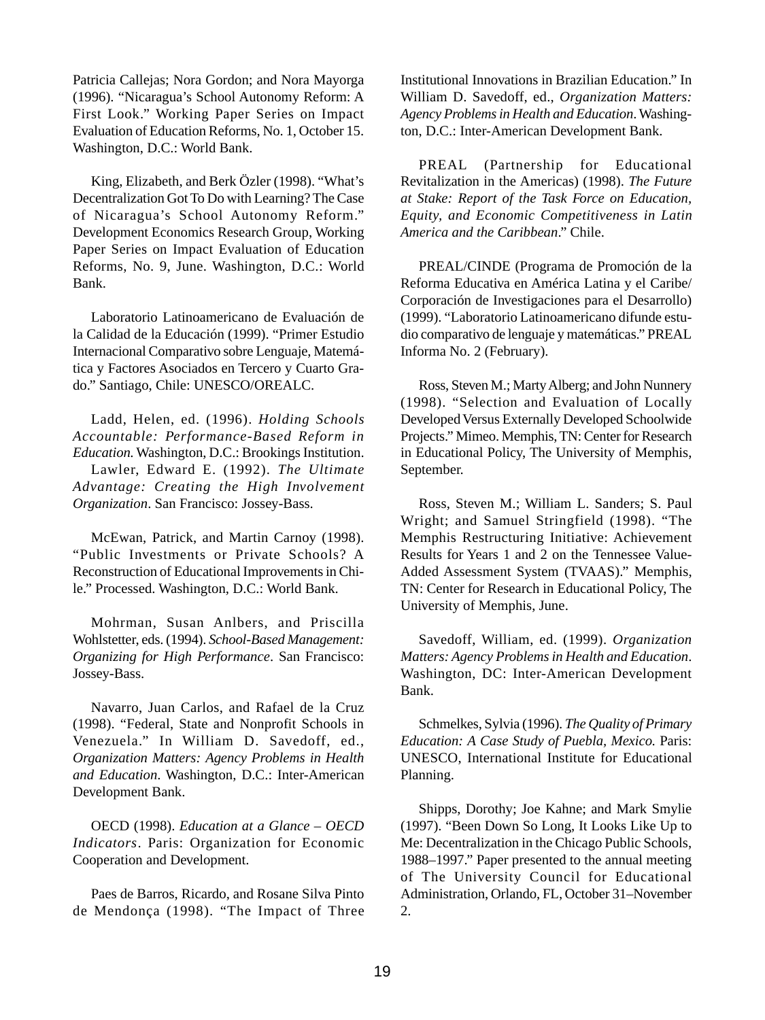Patricia Callejas; Nora Gordon; and Nora Mayorga (1996). "Nicaragua's School Autonomy Reform: A First Look." Working Paper Series on Impact Evaluation of Education Reforms, No. 1, October 15. Washington, D.C.: World Bank.

King, Elizabeth, and Berk Özler (1998). "What's Decentralization Got To Do with Learning? The Case of Nicaragua's School Autonomy Reform." Development Economics Research Group, Working Paper Series on Impact Evaluation of Education Reforms, No. 9, June. Washington, D.C.: World Bank.

Laboratorio Latinoamericano de Evaluación de la Calidad de la Educación (1999). "Primer Estudio Internacional Comparativo sobre Lenguaje, Matemática y Factores Asociados en Tercero y Cuarto Grado." Santiago, Chile: UNESCO/OREALC.

Ladd, Helen, ed. (1996). *Holding Schools Accountable: Performance-Based Reform in Education.*Washington, D.C.: Brookings Institution. Lawler, Edward E. (1992). *The Ultimate Advantage: Creating the High Involvement Organization*. San Francisco: Jossey-Bass.

McEwan, Patrick, and Martin Carnoy (1998). "Public Investments or Private Schools? A Reconstruction of Educational Improvements in Chile." Processed. Washington, D.C.: World Bank.

Mohrman, Susan Anlbers, and Priscilla Wohlstetter, eds. (1994). *School-Based Management: Organizing for High Performance*. San Francisco: Jossey-Bass.

Navarro, Juan Carlos, and Rafael de la Cruz (1998). "Federal, State and Nonprofit Schools in Venezuela." In William D. Savedoff, ed., *Organization Matters: Agency Problems in Health and Education*. Washington, D.C.: Inter-American Development Bank.

OECD (1998). *Education at a Glance – OECD Indicators*. Paris: Organization for Economic Cooperation and Development.

Paes de Barros, Ricardo, and Rosane Silva Pinto de Mendonça (1998). "The Impact of Three Institutional Innovations in Brazilian Education." In William D. Savedoff, ed., *Organization Matters: Agency Problems in Health and Education*. Washington, D.C.: Inter-American Development Bank.

PREAL (Partnership for Educational Revitalization in the Americas) (1998). *The Future at Stake: Report of the Task Force on Education, Equity, and Economic Competitiveness in Latin America and the Caribbean*." Chile.

PREAL/CINDE (Programa de Promoción de la Reforma Educativa en América Latina y el Caribe/ Corporación de Investigaciones para el Desarrollo) (1999). "Laboratorio Latinoamericano difunde estudio comparativo de lenguaje y matemáticas." PREAL Informa No. 2 (February).

Ross, Steven M.; Marty Alberg; and John Nunnery (1998). "Selection and Evaluation of Locally Developed Versus Externally Developed Schoolwide Projects." Mimeo. Memphis,TN: Center for Research in Educational Policy, The University of Memphis, September.

Ross, Steven M.; William L. Sanders; S. Paul Wright; and Samuel Stringfield (1998). "The Memphis Restructuring Initiative: Achievement Results for Years 1 and 2 on the Tennessee Value-Added Assessment System (TVAAS)." Memphis, TN: Center for Research in Educational Policy, The University of Memphis, June.

Savedoff, William, ed. (1999). *Organization Matters: Agency Problems in Health and Education*. Washington, DC: Inter-American Development Bank.

Schmelkes, Sylvia (1996). *The Quality of Primary Education: A Case Study of Puebla, Mexico.* Paris: UNESCO, International Institute for Educational Planning.

Shipps, Dorothy; Joe Kahne; and Mark Smylie (1997). "Been Down So Long, It Looks Like Up to Me: Decentralization in the Chicago Public Schools, 1988–1997." Paper presented to the annual meeting of The University Council for Educational Administration, Orlando, FL, October 31–November 2.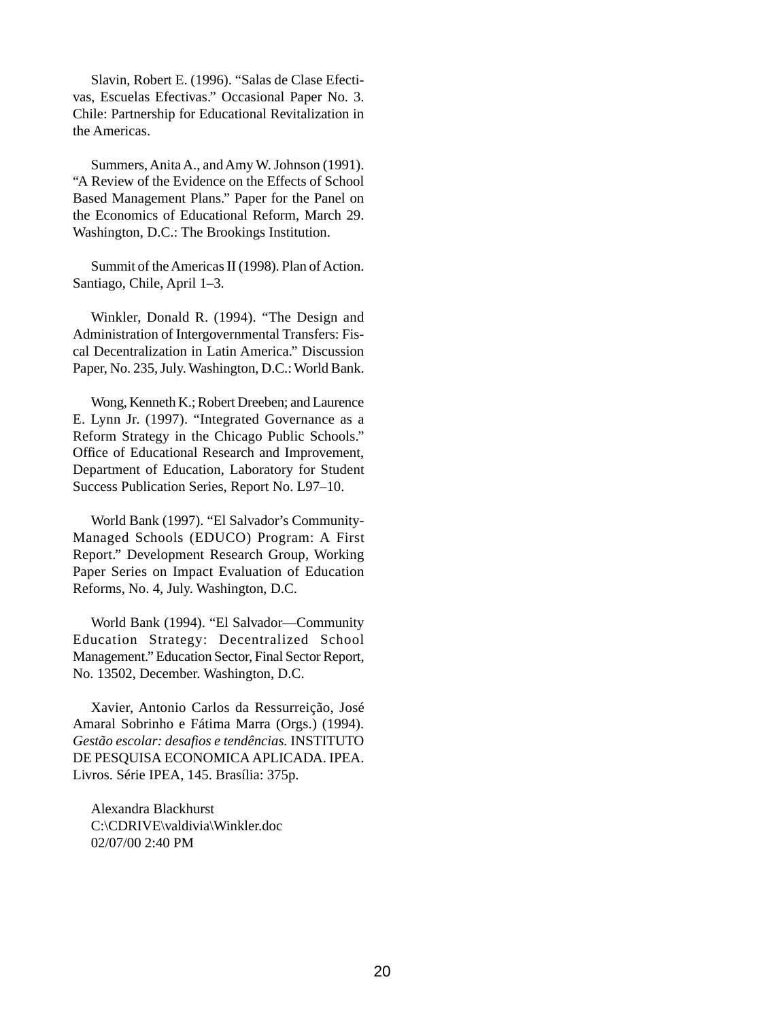Slavin, Robert E. (1996). "Salas de Clase Efectivas, Escuelas Efectivas." Occasional Paper No. 3. Chile: Partnership for Educational Revitalization in the Americas.

Summers, Anita A., and Amy W. Johnson (1991). "A Review of the Evidence on the Effects of School Based Management Plans." Paper for the Panel on the Economics of Educational Reform, March 29. Washington, D.C.: The Brookings Institution.

Summit of the Americas II (1998). Plan of Action. Santiago, Chile, April 1–3.

Winkler, Donald R. (1994). "The Design and Administration of Intergovernmental Transfers: Fiscal Decentralization in Latin America." Discussion Paper, No. 235, July. Washington, D.C.: World Bank.

Wong, Kenneth K.; Robert Dreeben; and Laurence E. Lynn Jr. (1997). "Integrated Governance as a Reform Strategy in the Chicago Public Schools." Office of Educational Research and Improvement, Department of Education, Laboratory for Student Success Publication Series, Report No. L97–10.

World Bank (1997). "El Salvador's Community-Managed Schools (EDUCO) Program: A First Report." Development Research Group, Working Paper Series on Impact Evaluation of Education Reforms, No. 4, July. Washington, D.C.

World Bank (1994). "El Salvador—Community Education Strategy: Decentralized School Management." Education Sector, Final Sector Report, No. 13502, December. Washington, D.C.

Xavier, Antonio Carlos da Ressurreição, José Amaral Sobrinho e Fátima Marra (Orgs.) (1994). *Gestão escolar: desafios e tendências.* INSTITUTO DE PESQUISA ECONOMICA APLICADA. IPEA. Livros. Série IPEA, 145. Brasília: 375p.

Alexandra Blackhurst C:\CDRIVE\valdivia\Winkler.doc 02/07/00 2:40 PM